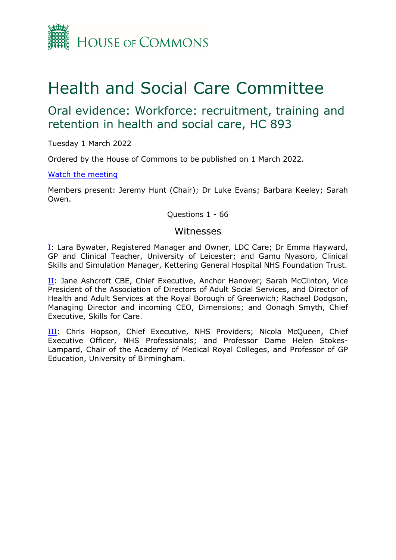

# Health and Social Care Committee

# Oral evidence: Workforce: recruitment, training and retention in health and social care, HC 893

Tuesday 1 March 2022

Ordered by the House of Commons to be published on 1 March 2022.

#### [Watch](https://www.parliamentlive.tv/Event/Index/f6f0cdd1-6dee-4974-9224-e0a747256693) [the](https://www.parliamentlive.tv/Event/Index/f6f0cdd1-6dee-4974-9224-e0a747256693) [meeting](https://www.parliamentlive.tv/Event/Index/f6f0cdd1-6dee-4974-9224-e0a747256693)

Members present: Jeremy Hunt (Chair); Dr Luke Evans; Barbara Keeley; Sarah Owen.

Questions 1 - 66

#### Witnesses

[I:](#page-1-0) Lara Bywater, Registered Manager and Owner, LDC Care; Dr Emma Hayward, GP and Clinical Teacher, University of Leicester; and Gamu Nyasoro, Clinical Skills and Simulation Manager, Kettering General Hospital NHS Foundation Trust.

II: Jane Ashcroft CBE, Chief Executive, Anchor Hanover; Sarah McClinton, Vice President of the Association of Directors of Adult Social Services, and Director of Health and Adult Services at the Royal Borough of Greenwich; Rachael Dodgson, Managing Director and incoming CEO, Dimensions; and Oonagh Smyth, Chief Executive, Skills for Care.

III: Chris Hopson, Chief Executive, NHS Providers; Nicola McQueen, Chief Executive Officer, NHS Professionals; and Professor Dame Helen Stokes-Lampard, Chair of the Academy of Medical Royal Colleges, and Professor of GP Education, University of Birmingham.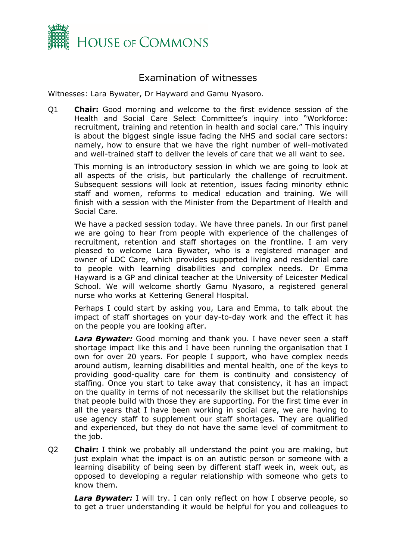

# <span id="page-1-0"></span>Examination of witnesses

Witnesses: Lara Bywater, Dr Hayward and Gamu Nyasoro.

Q1 **Chair:** Good morning and welcome to the first evidence session of the Health and Social Care Select Committee's inquiry into "Workforce: recruitment, training and retention in health and social care." This inquiry is about the biggest single issue facing the NHS and social care sectors: namely, how to ensure that we have the right number of well-motivated and well-trained staff to deliver the levels of care that we all want to see.

This morning is an introductory session in which we are going to look at all aspects of the crisis, but particularly the challenge of recruitment. Subsequent sessions will look at retention, issues facing minority ethnic staff and women, reforms to medical education and training. We will finish with a session with the Minister from the Department of Health and Social Care.

We have a packed session today. We have three panels. In our first panel we are going to hear from people with experience of the challenges of recruitment, retention and staff shortages on the frontline. I am very pleased to welcome Lara Bywater, who is a registered manager and owner of LDC Care, which provides supported living and residential care to people with learning disabilities and complex needs. Dr Emma Hayward is a GP and clinical teacher at the University of Leicester Medical School. We will welcome shortly Gamu Nyasoro, a registered general nurse who works at Kettering General Hospital.

Perhaps I could start by asking you, Lara and Emma, to talk about the impact of staff shortages on your day-to-day work and the effect it has on the people you are looking after.

*Lara Bywater:* Good morning and thank you. I have never seen a staff shortage impact like this and I have been running the organisation that I own for over 20 years. For people I support, who have complex needs around autism, learning disabilities and mental health, one of the keys to providing good-quality care for them is continuity and consistency of staffing. Once you start to take away that consistency, it has an impact on the quality in terms of not necessarily the skillset but the relationships that people build with those they are supporting. For the first time ever in all the years that I have been working in social care, we are having to use agency staff to supplement our staff shortages. They are qualified and experienced, but they do not have the same level of commitment to the job.

Q2 **Chair:** I think we probably all understand the point you are making, but just explain what the impact is on an autistic person or someone with a learning disability of being seen by different staff week in, week out, as opposed to developing a regular relationship with someone who gets to know them.

**Lara Bywater:** I will try. I can only reflect on how I observe people, so to get a truer understanding it would be helpful for you and colleagues to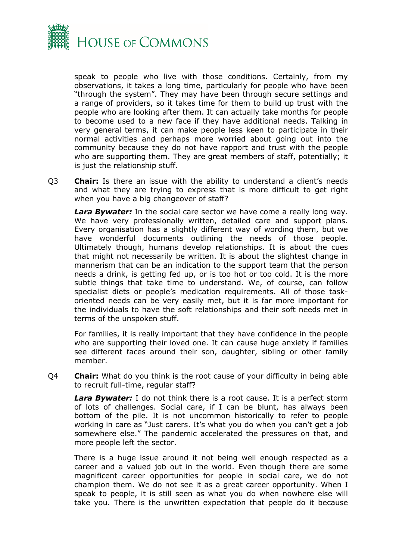

speak to people who live with those conditions. Certainly, from my observations, it takes a long time, particularly for people who have been "through the system". They may have been through secure settings and a range of providers, so it takes time for them to build up trust with the people who are looking after them. It can actually take months for people to become used to a new face if they have additional needs. Talking in very general terms, it can make people less keen to participate in their normal activities and perhaps more worried about going out into the community because they do not have rapport and trust with the people who are supporting them. They are great members of staff, potentially; it is just the relationship stuff.

Q3 **Chair:** Is there an issue with the ability to understand a client's needs and what they are trying to express that is more difficult to get right when you have a big changeover of staff?

*Lara Bywater:* In the social care sector we have come a really long way. We have very professionally written, detailed care and support plans. Every organisation has a slightly different way of wording them, but we have wonderful documents outlining the needs of those people. Ultimately though, humans develop relationships. It is about the cues that might not necessarily be written. It is about the slightest change in mannerism that can be an indication to the support team that the person needs a drink, is getting fed up, or is too hot or too cold. It is the more subtle things that take time to understand. We, of course, can follow specialist diets or people's medication requirements. All of those taskoriented needs can be very easily met, but it is far more important for the individuals to have the soft relationships and their soft needs met in terms of the unspoken stuff.

For families, it is really important that they have confidence in the people who are supporting their loved one. It can cause huge anxiety if families see different faces around their son, daughter, sibling or other family member.

Q4 **Chair:** What do you think is the root cause of your difficulty in being able to recruit full-time, regular staff?

*Lara Bywater:* I do not think there is a root cause. It is a perfect storm of lots of challenges. Social care, if I can be blunt, has always been bottom of the pile. It is not uncommon historically to refer to people working in care as "Just carers. It's what you do when you can't get a job somewhere else." The pandemic accelerated the pressures on that, and more people left the sector.

There is a huge issue around it not being well enough respected as a career and a valued job out in the world. Even though there are some magnificent career opportunities for people in social care, we do not champion them. We do not see it as a great career opportunity. When I speak to people, it is still seen as what you do when nowhere else will take you. There is the unwritten expectation that people do it because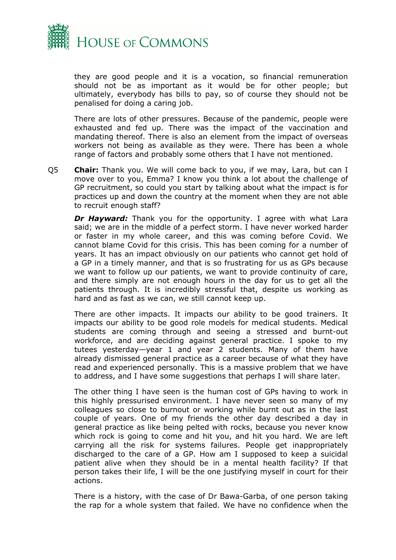

they are good people and it is a vocation, so financial remuneration should not be as important as it would be for other people; but ultimately, everybody has bills to pay, so of course they should not be penalised for doing a caring job.

There are lots of other pressures. Because of the pandemic, people were exhausted and fed up. There was the impact of the vaccination and mandating thereof. There is also an element from the impact of overseas workers not being as available as they were. There has been a whole range of factors and probably some others that I have not mentioned.

Q5 **Chair:** Thank you. We will come back to you, if we may, Lara, but can I move over to you, Emma? I know you think a lot about the challenge of GP recruitment, so could you start by talking about what the impact is for practices up and down the country at the moment when they are not able to recruit enough staff?

**Dr Hayward:** Thank you for the opportunity. I agree with what Lara said; we are in the middle of a perfect storm. I have never worked harder or faster in my whole career, and this was coming before Covid. We cannot blame Covid for this crisis. This has been coming for a number of years. It has an impact obviously on our patients who cannot get hold of a GP in a timely manner, and that is so frustrating for us as GPs because we want to follow up our patients, we want to provide continuity of care, and there simply are not enough hours in the day for us to get all the patients through. It is incredibly stressful that, despite us working as hard and as fast as we can, we still cannot keep up.

There are other impacts. It impacts our ability to be good trainers. It impacts our ability to be good role models for medical students. Medical students are coming through and seeing a stressed and burnt-out workforce, and are deciding against general practice. I spoke to my tutees yesterday—year 1 and year 2 students. Many of them have already dismissed general practice as a career because of what they have read and experienced personally. This is a massive problem that we have to address, and I have some suggestions that perhaps I will share later.

The other thing I have seen is the human cost of GPs having to work in this highly pressurised environment. I have never seen so many of my colleagues so close to burnout or working while burnt out as in the last couple of years. One of my friends the other day described a day in general practice as like being pelted with rocks, because you never know which rock is going to come and hit you, and hit you hard. We are left carrying all the risk for systems failures. People get inappropriately discharged to the care of a GP. How am I supposed to keep a suicidal patient alive when they should be in a mental health facility? If that person takes their life, I will be the one justifying myself in court for their actions.

There is a history, with the case of Dr Bawa-Garba, of one person taking the rap for a whole system that failed. We have no confidence when the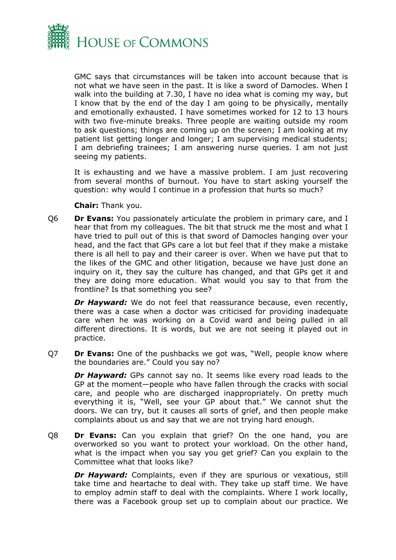

GMC says that circumstances will be taken into account because that is not what we have seen in the past. It is like a sword of Damocles. When I walk into the building at 7.30, I have no idea what is coming my way, but I know that by the end of the day I am going to be physically, mentally and emotionally exhausted. I have sometimes worked for 12 to 13 hours with two five-minute breaks. Three people are waiting outside my room to ask questions; things are coming up on the screen; I am looking at my patient list getting longer and longer; I am supervising medical students; I am debriefing trainees; I am answering nurse queries. I am not just seeing my patients.

It is exhausting and we have a massive problem. I am just recovering from several months of burnout. You have to start asking yourself the question: why would I continue in a profession that hurts so much?

**Chair:** Thank you.

Q6 **Dr Evans:** You passionately articulate the problem in primary care, and I hear that from my colleagues. The bit that struck me the most and what I have tried to pull out of this is that sword of Damocles hanging over your head, and the fact that GPs care a lot but feel that if they make a mistake there is all hell to pay and their career is over. When we have put that to the likes of the GMC and other litigation, because we have just done an inquiry on it, they say the culture has changed, and that GPs get it and they are doing more education. What would you say to that from the frontline? Is that something you see?

*Dr Hayward:* We do not feel that reassurance because, even recently, there was a case when a doctor was criticised for providing inadequate care when he was working on a Covid ward and being pulled in all different directions. It is words, but we are not seeing it played out in practice.

Q7 **Dr Evans:** One of the pushbacks we got was, "Well, people know where the boundaries are." Could you say no?

*Dr Hayward:* GPs cannot say no. It seems like every road leads to the GP at the moment—people who have fallen through the cracks with social care, and people who are discharged inappropriately. On pretty much everything it is, "Well, see your GP about that." We cannot shut the doors. We can try, but it causes all sorts of grief, and then people make complaints about us and say that we are not trying hard enough.

Q8 **Dr Evans:** Can you explain that grief? On the one hand, you are overworked so you want to protect your workload. On the other hand, what is the impact when you say you get grief? Can you explain to the Committee what that looks like?

*Dr Hayward:* Complaints, even if they are spurious or vexatious, still take time and heartache to deal with. They take up staff time. We have to employ admin staff to deal with the complaints. Where I work locally, there was a Facebook group set up to complain about our practice. We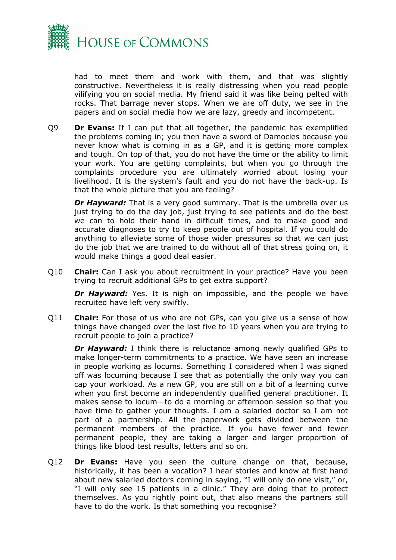

had to meet them and work with them, and that was slightly constructive. Nevertheless it is really distressing when you read people vilifying you on social media. My friend said it was like being pelted with rocks. That barrage never stops. When we are off duty, we see in the papers and on social media how we are lazy, greedy and incompetent.

Q9 **Dr Evans:** If I can put that all together, the pandemic has exemplified the problems coming in; you then have a sword of Damocles because you never know what is coming in as a GP, and it is getting more complex and tough. On top of that, you do not have the time or the ability to limit your work. You are getting complaints, but when you go through the complaints procedure you are ultimately worried about losing your livelihood. It is the system's fault and you do not have the back-up. Is that the whole picture that you are feeling?

*Dr Hayward:* That is a very good summary. That is the umbrella over us just trying to do the day job, just trying to see patients and do the best we can to hold their hand in difficult times, and to make good and accurate diagnoses to try to keep people out of hospital. If you could do anything to alleviate some of those wider pressures so that we can just do the job that we are trained to do without all of that stress going on, it would make things a good deal easier.

Q10 **Chair:** Can I ask you about recruitment in your practice? Have you been trying to recruit additional GPs to get extra support?

**Dr Hayward:** Yes. It is nigh on impossible, and the people we have recruited have left very swiftly.

Q11 **Chair:** For those of us who are not GPs, can you give us a sense of how things have changed over the last five to 10 years when you are trying to recruit people to join a practice?

*Dr Hayward:* I think there is reluctance among newly qualified GPs to make longer-term commitments to a practice. We have seen an increase in people working as locums. Something I considered when I was signed off was locuming because I see that as potentially the only way you can cap your workload. As a new GP, you are still on a bit of a learning curve when you first become an independently qualified general practitioner. It makes sense to locum—to do a morning or afternoon session so that you have time to gather your thoughts. I am a salaried doctor so I am not part of a partnership. All the paperwork gets divided between the permanent members of the practice. If you have fewer and fewer permanent people, they are taking a larger and larger proportion of things like blood test results, letters and so on.

Q12 **Dr Evans:** Have you seen the culture change on that, because, historically, it has been a vocation? I hear stories and know at first hand about new salaried doctors coming in saying, "I will only do one visit," or, "I will only see 15 patients in a clinic." They are doing that to protect themselves. As you rightly point out, that also means the partners still have to do the work. Is that something you recognise?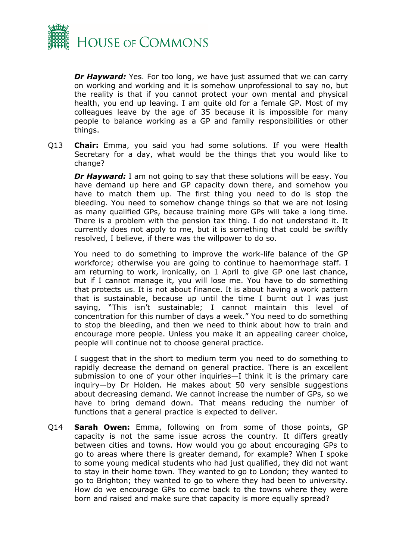

**Dr Hayward:** Yes. For too long, we have just assumed that we can carry on working and working and it is somehow unprofessional to say no, but the reality is that if you cannot protect your own mental and physical health, you end up leaving. I am quite old for a female GP. Most of my colleagues leave by the age of 35 because it is impossible for many people to balance working as a GP and family responsibilities or other things.

Q13 **Chair:** Emma, you said you had some solutions. If you were Health Secretary for a day, what would be the things that you would like to change?

*Dr Hayward:* I am not going to say that these solutions will be easy. You have demand up here and GP capacity down there, and somehow you have to match them up. The first thing you need to do is stop the bleeding. You need to somehow change things so that we are not losing as many qualified GPs, because training more GPs will take a long time. There is a problem with the pension tax thing. I do not understand it. It currently does not apply to me, but it is something that could be swiftly resolved, I believe, if there was the willpower to do so.

You need to do something to improve the work-life balance of the GP workforce; otherwise you are going to continue to haemorrhage staff. I am returning to work, ironically, on 1 April to give GP one last chance, but if I cannot manage it, you will lose me. You have to do something that protects us. It is not about finance. It is about having a work pattern that is sustainable, because up until the time I burnt out I was just saying, "This isn't sustainable; I cannot maintain this level of concentration for this number of days a week." You need to do something to stop the bleeding, and then we need to think about how to train and encourage more people. Unless you make it an appealing career choice, people will continue not to choose general practice.

I suggest that in the short to medium term you need to do something to rapidly decrease the demand on general practice. There is an excellent submission to one of your other inquiries—I think it is the primary care inquiry—by Dr Holden. He makes about 50 very sensible suggestions about decreasing demand. We cannot increase the number of GPs, so we have to bring demand down. That means reducing the number of functions that a general practice is expected to deliver.

Q14 **Sarah Owen:** Emma, following on from some of those points, GP capacity is not the same issue across the country. It differs greatly between cities and towns. How would you go about encouraging GPs to go to areas where there is greater demand, for example? When I spoke to some young medical students who had just qualified, they did not want to stay in their home town. They wanted to go to London; they wanted to go to Brighton; they wanted to go to where they had been to university. How do we encourage GPs to come back to the towns where they were born and raised and make sure that capacity is more equally spread?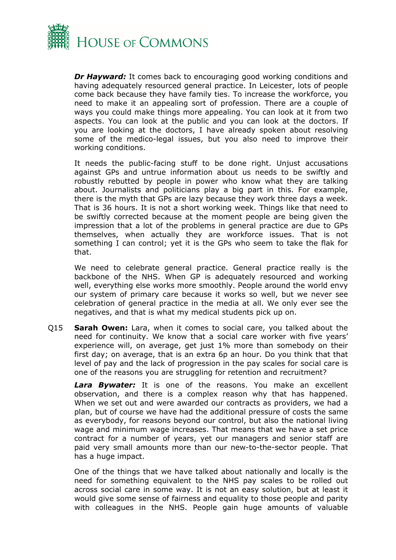

*Dr Hayward:* It comes back to encouraging good working conditions and having adequately resourced general practice. In Leicester, lots of people come back because they have family ties. To increase the workforce, you need to make it an appealing sort of profession. There are a couple of ways you could make things more appealing. You can look at it from two aspects. You can look at the public and you can look at the doctors. If you are looking at the doctors, I have already spoken about resolving some of the medico-legal issues, but you also need to improve their working conditions.

It needs the public-facing stuff to be done right. Unjust accusations against GPs and untrue information about us needs to be swiftly and robustly rebutted by people in power who know what they are talking about. Journalists and politicians play a big part in this. For example, there is the myth that GPs are lazy because they work three days a week. That is 36 hours. It is not a short working week. Things like that need to be swiftly corrected because at the moment people are being given the impression that a lot of the problems in general practice are due to GPs themselves, when actually they are workforce issues. That is not something I can control; yet it is the GPs who seem to take the flak for that.

We need to celebrate general practice. General practice really is the backbone of the NHS. When GP is adequately resourced and working well, everything else works more smoothly. People around the world envy our system of primary care because it works so well, but we never see celebration of general practice in the media at all. We only ever see the negatives, and that is what my medical students pick up on.

Q15 **Sarah Owen:** Lara, when it comes to social care, you talked about the need for continuity. We know that a social care worker with five years' experience will, on average, get just 1% more than somebody on their first day; on average, that is an extra 6p an hour. Do you think that that level of pay and the lack of progression in the pay scales for social care is one of the reasons you are struggling for retention and recruitment?

*Lara Bywater:* It is one of the reasons. You make an excellent observation, and there is a complex reason why that has happened. When we set out and were awarded our contracts as providers, we had a plan, but of course we have had the additional pressure of costs the same as everybody, for reasons beyond our control, but also the national living wage and minimum wage increases. That means that we have a set price contract for a number of years, yet our managers and senior staff are paid very small amounts more than our new-to-the-sector people. That has a huge impact.

One of the things that we have talked about nationally and locally is the need for something equivalent to the NHS pay scales to be rolled out across social care in some way. It is not an easy solution, but at least it would give some sense of fairness and equality to those people and parity with colleagues in the NHS. People gain huge amounts of valuable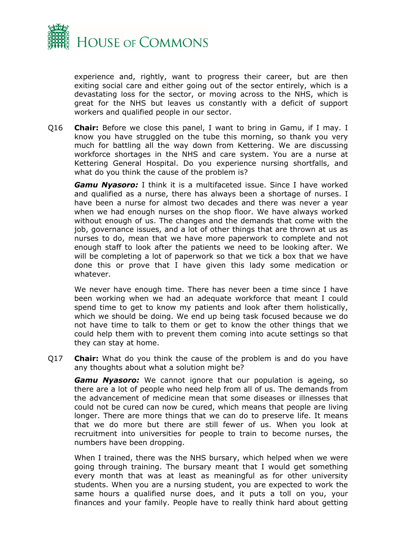

experience and, rightly, want to progress their career, but are then exiting social care and either going out of the sector entirely, which is a devastating loss for the sector, or moving across to the NHS, which is great for the NHS but leaves us constantly with a deficit of support workers and qualified people in our sector.

Q16 **Chair:** Before we close this panel, I want to bring in Gamu, if I may. I know you have struggled on the tube this morning, so thank you very much for battling all the way down from Kettering. We are discussing workforce shortages in the NHS and care system. You are a nurse at Kettering General Hospital. Do you experience nursing shortfalls, and what do you think the cause of the problem is?

*Gamu Nyasoro:* I think it is a multifaceted issue. Since I have worked and qualified as a nurse, there has always been a shortage of nurses. I have been a nurse for almost two decades and there was never a year when we had enough nurses on the shop floor. We have always worked without enough of us. The changes and the demands that come with the job, governance issues, and a lot of other things that are thrown at us as nurses to do, mean that we have more paperwork to complete and not enough staff to look after the patients we need to be looking after. We will be completing a lot of paperwork so that we tick a box that we have done this or prove that I have given this lady some medication or whatever.

We never have enough time. There has never been a time since I have been working when we had an adequate workforce that meant I could spend time to get to know my patients and look after them holistically, which we should be doing. We end up being task focused because we do not have time to talk to them or get to know the other things that we could help them with to prevent them coming into acute settings so that they can stay at home.

Q17 **Chair:** What do you think the cause of the problem is and do you have any thoughts about what a solution might be?

*Gamu Nyasoro:* We cannot ignore that our population is ageing, so there are a lot of people who need help from all of us. The demands from the advancement of medicine mean that some diseases or illnesses that could not be cured can now be cured, which means that people are living longer. There are more things that we can do to preserve life. It means that we do more but there are still fewer of us. When you look at recruitment into universities for people to train to become nurses, the numbers have been dropping.

When I trained, there was the NHS bursary, which helped when we were going through training. The bursary meant that I would get something every month that was at least as meaningful as for other university students. When you are a nursing student, you are expected to work the same hours a qualified nurse does, and it puts a toll on you, your finances and your family. People have to really think hard about getting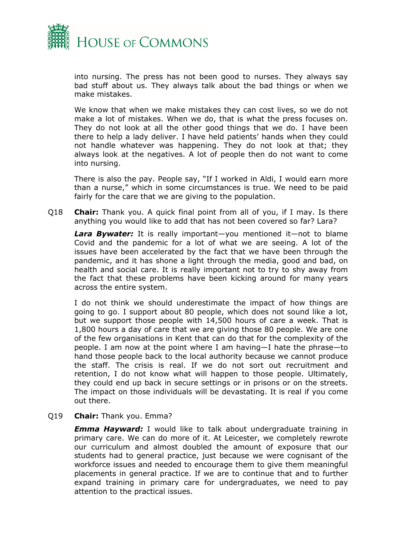

into nursing. The press has not been good to nurses. They always say bad stuff about us. They always talk about the bad things or when we make mistakes.

We know that when we make mistakes they can cost lives, so we do not make a lot of mistakes. When we do, that is what the press focuses on. They do not look at all the other good things that we do. I have been there to help a lady deliver. I have held patients' hands when they could not handle whatever was happening. They do not look at that; they always look at the negatives. A lot of people then do not want to come into nursing.

There is also the pay. People say, "If I worked in Aldi, I would earn more than a nurse," which in some circumstances is true. We need to be paid fairly for the care that we are giving to the population.

Q18 **Chair:** Thank you. A quick final point from all of you, if I may. Is there anything you would like to add that has not been covered so far? Lara?

*Lara Bywater:* It is really important—you mentioned it—not to blame Covid and the pandemic for a lot of what we are seeing. A lot of the issues have been accelerated by the fact that we have been through the pandemic, and it has shone a light through the media, good and bad, on health and social care. It is really important not to try to shy away from the fact that these problems have been kicking around for many years across the entire system.

I do not think we should underestimate the impact of how things are going to go. I support about 80 people, which does not sound like a lot, but we support those people with 14,500 hours of care a week. That is 1,800 hours a day of care that we are giving those 80 people. We are one of the few organisations in Kent that can do that for the complexity of the people. I am now at the point where I am having—I hate the phrase—to hand those people back to the local authority because we cannot produce the staff. The crisis is real. If we do not sort out recruitment and retention, I do not know what will happen to those people. Ultimately, they could end up back in secure settings or in prisons or on the streets. The impact on those individuals will be devastating. It is real if you come out there.

Q19 **Chair:** Thank you. Emma?

*Emma Hayward:* I would like to talk about undergraduate training in primary care. We can do more of it. At Leicester, we completely rewrote our curriculum and almost doubled the amount of exposure that our students had to general practice, just because we were cognisant of the workforce issues and needed to encourage them to give them meaningful placements in general practice. If we are to continue that and to further expand training in primary care for undergraduates, we need to pay attention to the practical issues.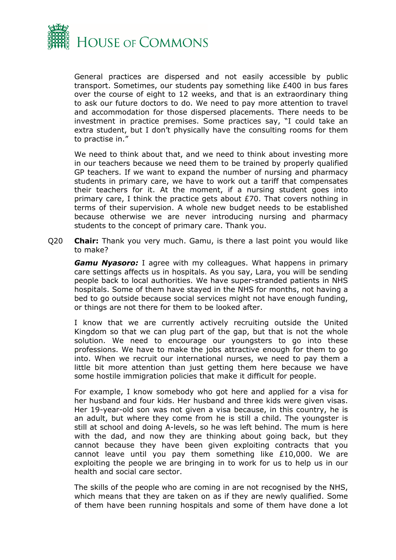

General practices are dispersed and not easily accessible by public transport. Sometimes, our students pay something like £400 in bus fares over the course of eight to 12 weeks, and that is an extraordinary thing to ask our future doctors to do. We need to pay more attention to travel and accommodation for those dispersed placements. There needs to be investment in practice premises. Some practices say, "I could take an extra student, but I don't physically have the consulting rooms for them to practise in."

We need to think about that, and we need to think about investing more in our teachers because we need them to be trained by properly qualified GP teachers. If we want to expand the number of nursing and pharmacy students in primary care, we have to work out a tariff that compensates their teachers for it. At the moment, if a nursing student goes into primary care, I think the practice gets about £70. That covers nothing in terms of their supervision. A whole new budget needs to be established because otherwise we are never introducing nursing and pharmacy students to the concept of primary care. Thank you.

Q20 **Chair:** Thank you very much. Gamu, is there a last point you would like to make?

*Gamu Nyasoro:* I agree with my colleagues. What happens in primary care settings affects us in hospitals. As you say, Lara, you will be sending people back to local authorities. We have super-stranded patients in NHS hospitals. Some of them have stayed in the NHS for months, not having a bed to go outside because social services might not have enough funding, or things are not there for them to be looked after.

I know that we are currently actively recruiting outside the United Kingdom so that we can plug part of the gap, but that is not the whole solution. We need to encourage our youngsters to go into these professions. We have to make the jobs attractive enough for them to go into. When we recruit our international nurses, we need to pay them a little bit more attention than just getting them here because we have some hostile immigration policies that make it difficult for people.

For example, I know somebody who got here and applied for a visa for her husband and four kids. Her husband and three kids were given visas. Her 19-year-old son was not given a visa because, in this country, he is an adult, but where they come from he is still a child. The youngster is still at school and doing A-levels, so he was left behind. The mum is here with the dad, and now they are thinking about going back, but they cannot because they have been given exploiting contracts that you cannot leave until you pay them something like £10,000. We are exploiting the people we are bringing in to work for us to help us in our health and social care sector.

The skills of the people who are coming in are not recognised by the NHS, which means that they are taken on as if they are newly qualified. Some of them have been running hospitals and some of them have done a lot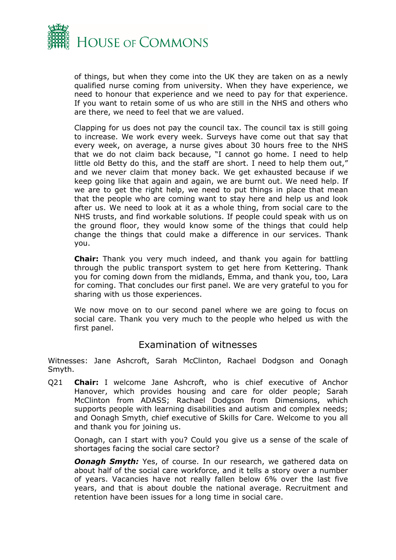

of things, but when they come into the UK they are taken on as a newly qualified nurse coming from university. When they have experience, we need to honour that experience and we need to pay for that experience. If you want to retain some of us who are still in the NHS and others who are there, we need to feel that we are valued.

Clapping for us does not pay the council tax. The council tax is still going to increase. We work every week. Surveys have come out that say that every week, on average, a nurse gives about 30 hours free to the NHS that we do not claim back because, "I cannot go home. I need to help little old Betty do this, and the staff are short. I need to help them out," and we never claim that money back. We get exhausted because if we keep going like that again and again, we are burnt out. We need help. If we are to get the right help, we need to put things in place that mean that the people who are coming want to stay here and help us and look after us. We need to look at it as a whole thing, from social care to the NHS trusts, and find workable solutions. If people could speak with us on the ground floor, they would know some of the things that could help change the things that could make a difference in our services. Thank you.

**Chair:** Thank you very much indeed, and thank you again for battling through the public transport system to get here from Kettering. Thank you for coming down from the midlands, Emma, and thank you, too, Lara for coming. That concludes our first panel. We are very grateful to you for sharing with us those experiences.

We now move on to our second panel where we are going to focus on social care. Thank you very much to the people who helped us with the first panel.

### Examination of witnesses

Witnesses: Jane Ashcroft, Sarah McClinton, Rachael Dodgson and Oonagh Smyth.

Q21 **Chair:** I welcome Jane Ashcroft, who is chief executive of Anchor Hanover, which provides housing and care for older people; Sarah McClinton from ADASS; Rachael Dodgson from Dimensions, which supports people with learning disabilities and autism and complex needs; and Oonagh Smyth, chief executive of Skills for Care. Welcome to you all and thank you for joining us.

Oonagh, can I start with you? Could you give us a sense of the scale of shortages facing the social care sector?

*Oonagh Smyth: Yes, of course. In our research, we gathered data on* about half of the social care workforce, and it tells a story over a number of years. Vacancies have not really fallen below 6% over the last five years, and that is about double the national average. Recruitment and retention have been issues for a long time in social care.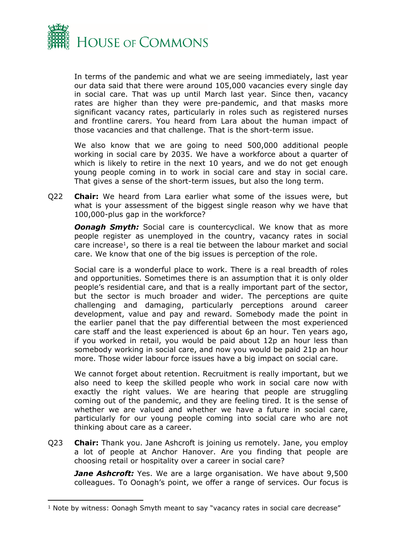

In terms of the pandemic and what we are seeing immediately, last year our data said that there were around 105,000 vacancies every single day in social care. That was up until March last year. Since then, vacancy rates are higher than they were pre-pandemic, and that masks more significant vacancy rates, particularly in roles such as registered nurses and frontline carers. You heard from Lara about the human impact of those vacancies and that challenge. That is the short-term issue.

We also know that we are going to need 500,000 additional people working in social care by 2035. We have a workforce about a quarter of which is likely to retire in the next 10 years, and we do not get enough young people coming in to work in social care and stay in social care. That gives a sense of the short-term issues, but also the long term.

Q22 **Chair:** We heard from Lara earlier what some of the issues were, but what is your assessment of the biggest single reason why we have that 100,000-plus gap in the workforce?

**Oonagh Smyth:** Social care is countercyclical. We know that as more people register as unemployed in the country, vacancy rates in social care increase<sup>1</sup>, so there is a real tie between the labour market and social care. We know that one of the big issues is perception of the role.

Social care is a wonderful place to work. There is a real breadth of roles and opportunities. Sometimes there is an assumption that it is only older people's residential care, and that is a really important part of the sector, but the sector is much broader and wider. The perceptions are quite challenging and damaging, particularly perceptions around career development, value and pay and reward. Somebody made the point in the earlier panel that the pay differential between the most experienced care staff and the least experienced is about 6p an hour. Ten years ago, if you worked in retail, you would be paid about 12p an hour less than somebody working in social care, and now you would be paid 21p an hour more. Those wider labour force issues have a big impact on social care.

We cannot forget about retention. Recruitment is really important, but we also need to keep the skilled people who work in social care now with exactly the right values. We are hearing that people are struggling coming out of the pandemic, and they are feeling tired. It is the sense of whether we are valued and whether we have a future in social care, particularly for our young people coming into social care who are not thinking about care as a career.

Q23 **Chair:** Thank you. Jane Ashcroft is joining us remotely. Jane, you employ a lot of people at Anchor Hanover. Are you finding that people are choosing retail or hospitality over a career in social care?

*Jane Ashcroft:* Yes. We are a large organisation. We have about 9,500 colleagues. To Oonagh's point, we offer a range of services. Our focus is

<sup>&</sup>lt;sup>1</sup> Note by witness: Oonagh Smyth meant to say "vacancy rates in social care decrease"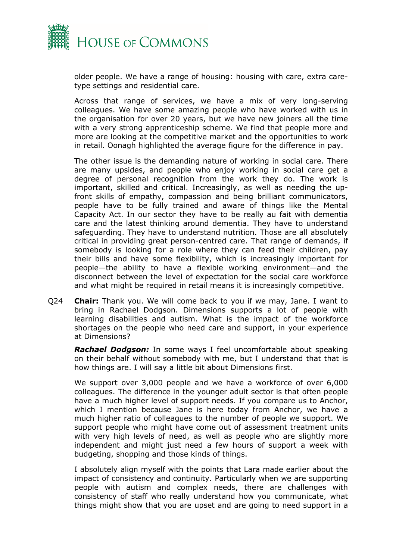

older people. We have a range of housing: housing with care, extra caretype settings and residential care.

Across that range of services, we have a mix of very long-serving colleagues. We have some amazing people who have worked with us in the organisation for over 20 years, but we have new joiners all the time with a very strong apprenticeship scheme. We find that people more and more are looking at the competitive market and the opportunities to work in retail. Oonagh highlighted the average figure for the difference in pay.

The other issue is the demanding nature of working in social care. There are many upsides, and people who enjoy working in social care get a degree of personal recognition from the work they do. The work is important, skilled and critical. Increasingly, as well as needing the upfront skills of empathy, compassion and being brilliant communicators, people have to be fully trained and aware of things like the Mental Capacity Act. In our sector they have to be really au fait with dementia care and the latest thinking around dementia. They have to understand safeguarding. They have to understand nutrition. Those are all absolutely critical in providing great person-centred care. That range of demands, if somebody is looking for a role where they can feed their children, pay their bills and have some flexibility, which is increasingly important for people—the ability to have a flexible working environment—and the disconnect between the level of expectation for the social care workforce and what might be required in retail means it is increasingly competitive.

Q24 **Chair:** Thank you. We will come back to you if we may, Jane. I want to bring in Rachael Dodgson. Dimensions supports a lot of people with learning disabilities and autism. What is the impact of the workforce shortages on the people who need care and support, in your experience at Dimensions?

*Rachael Dodgson:* In some ways I feel uncomfortable about speaking on their behalf without somebody with me, but I understand that that is how things are. I will say a little bit about Dimensions first.

We support over 3,000 people and we have a workforce of over 6,000 colleagues. The difference in the younger adult sector is that often people have a much higher level of support needs. If you compare us to Anchor, which I mention because Jane is here today from Anchor, we have a much higher ratio of colleagues to the number of people we support. We support people who might have come out of assessment treatment units with very high levels of need, as well as people who are slightly more independent and might just need a few hours of support a week with budgeting, shopping and those kinds of things.

I absolutely align myself with the points that Lara made earlier about the impact of consistency and continuity. Particularly when we are supporting people with autism and complex needs, there are challenges with consistency of staff who really understand how you communicate, what things might show that you are upset and are going to need support in a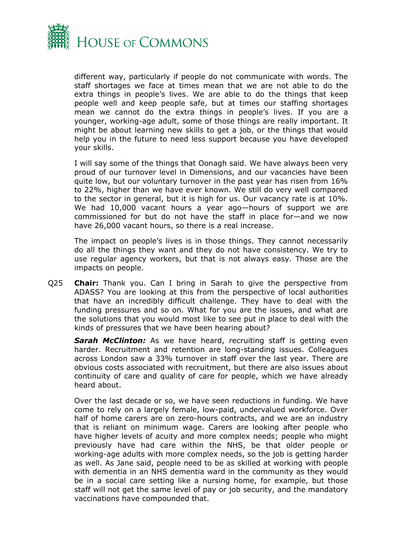

different way, particularly if people do not communicate with words. The staff shortages we face at times mean that we are not able to do the extra things in people's lives. We are able to do the things that keep people well and keep people safe, but at times our staffing shortages mean we cannot do the extra things in people's lives. If you are a younger, working-age adult, some of those things are really important. It might be about learning new skills to get a job, or the things that would help you in the future to need less support because you have developed your skills.

I will say some of the things that Oonagh said. We have always been very proud of our turnover level in Dimensions, and our vacancies have been quite low, but our voluntary turnover in the past year has risen from 16% to 22%, higher than we have ever known. We still do very well compared to the sector in general, but it is high for us. Our vacancy rate is at 10%. We had 10,000 vacant hours a year ago-hours of support we are commissioned for but do not have the staff in place for—and we now have 26,000 vacant hours, so there is a real increase.

The impact on people's lives is in those things. They cannot necessarily do all the things they want and they do not have consistency. We try to use regular agency workers, but that is not always easy. Those are the impacts on people.

Q25 **Chair:** Thank you. Can I bring in Sarah to give the perspective from ADASS? You are looking at this from the perspective of local authorities that have an incredibly difficult challenge. They have to deal with the funding pressures and so on. What for you are the issues, and what are the solutions that you would most like to see put in place to deal with the kinds of pressures that we have been hearing about?

*Sarah McClinton:* As we have heard, recruiting staff is getting even harder. Recruitment and retention are long-standing issues. Colleagues across London saw a 33% turnover in staff over the last year. There are obvious costs associated with recruitment, but there are also issues about continuity of care and quality of care for people, which we have already heard about.

Over the last decade or so, we have seen reductions in funding. We have come to rely on a largely female, low-paid, undervalued workforce. Over half of home carers are on zero-hours contracts, and we are an industry that is reliant on minimum wage. Carers are looking after people who have higher levels of acuity and more complex needs; people who might previously have had care within the NHS, be that older people or working-age adults with more complex needs, so the job is getting harder as well. As Jane said, people need to be as skilled at working with people with dementia in an NHS dementia ward in the community as they would be in a social care setting like a nursing home, for example, but those staff will not get the same level of pay or job security, and the mandatory vaccinations have compounded that.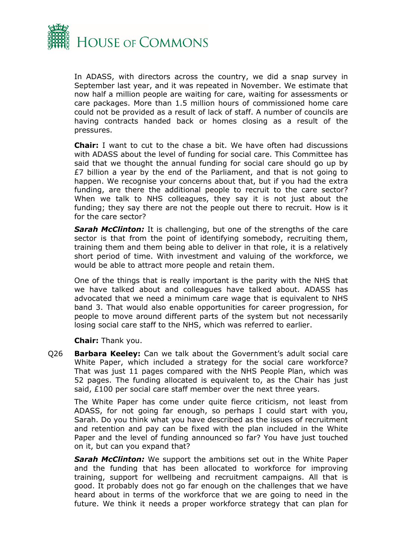

In ADASS, with directors across the country, we did a snap survey in September last year, and it was repeated in November. We estimate that now half a million people are waiting for care, waiting for assessments or care packages. More than 1.5 million hours of commissioned home care could not be provided as a result of lack of staff. A number of councils are having contracts handed back or homes closing as a result of the pressures.

**Chair:** I want to cut to the chase a bit. We have often had discussions with ADASS about the level of funding for social care. This Committee has said that we thought the annual funding for social care should go up by £7 billion a year by the end of the Parliament, and that is not going to happen. We recognise your concerns about that, but if you had the extra funding, are there the additional people to recruit to the care sector? When we talk to NHS colleagues, they say it is not just about the funding; they say there are not the people out there to recruit. How is it for the care sector?

*Sarah McClinton:* It is challenging, but one of the strengths of the care sector is that from the point of identifying somebody, recruiting them, training them and them being able to deliver in that role, it is a relatively short period of time. With investment and valuing of the workforce, we would be able to attract more people and retain them.

One of the things that is really important is the parity with the NHS that we have talked about and colleagues have talked about. ADASS has advocated that we need a minimum care wage that is equivalent to NHS band 3. That would also enable opportunities for career progression, for people to move around different parts of the system but not necessarily losing social care staff to the NHS, which was referred to earlier.

**Chair:** Thank you.

Q26 **Barbara Keeley:** Can we talk about the Government's adult social care White Paper, which included a strategy for the social care workforce? That was just 11 pages compared with the NHS People Plan, which was 52 pages. The funding allocated is equivalent to, as the Chair has just said, £100 per social care staff member over the next three years.

The White Paper has come under quite fierce criticism, not least from ADASS, for not going far enough, so perhaps I could start with you, Sarah. Do you think what you have described as the issues of recruitment and retention and pay can be fixed with the plan included in the White Paper and the level of funding announced so far? You have just touched on it, but can you expand that?

*Sarah McClinton:* We support the ambitions set out in the White Paper and the funding that has been allocated to workforce for improving training, support for wellbeing and recruitment campaigns. All that is good. It probably does not go far enough on the challenges that we have heard about in terms of the workforce that we are going to need in the future. We think it needs a proper workforce strategy that can plan for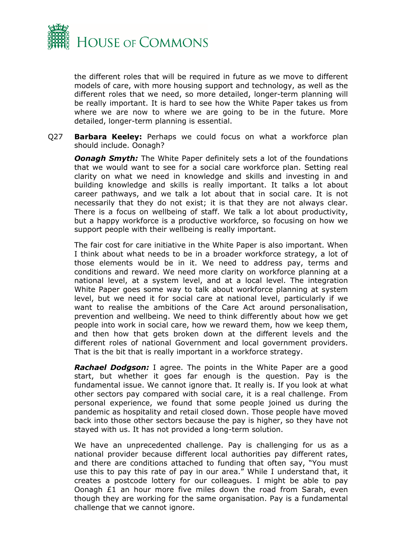

the different roles that will be required in future as we move to different models of care, with more housing support and technology, as well as the different roles that we need, so more detailed, longer-term planning will be really important. It is hard to see how the White Paper takes us from where we are now to where we are going to be in the future. More detailed, longer-term planning is essential.

Q27 **Barbara Keeley:** Perhaps we could focus on what a workforce plan should include. Oonagh?

*Oonagh Smyth:* The White Paper definitely sets a lot of the foundations that we would want to see for a social care workforce plan. Setting real clarity on what we need in knowledge and skills and investing in and building knowledge and skills is really important. It talks a lot about career pathways, and we talk a lot about that in social care. It is not necessarily that they do not exist; it is that they are not always clear. There is a focus on wellbeing of staff. We talk a lot about productivity, but a happy workforce is a productive workforce, so focusing on how we support people with their wellbeing is really important.

The fair cost for care initiative in the White Paper is also important. When I think about what needs to be in a broader workforce strategy, a lot of those elements would be in it. We need to address pay, terms and conditions and reward. We need more clarity on workforce planning at a national level, at a system level, and at a local level. The integration White Paper goes some way to talk about workforce planning at system level, but we need it for social care at national level, particularly if we want to realise the ambitions of the Care Act around personalisation, prevention and wellbeing. We need to think differently about how we get people into work in social care, how we reward them, how we keep them, and then how that gets broken down at the different levels and the different roles of national Government and local government providers. That is the bit that is really important in a workforce strategy.

*Rachael Dodgson:* I agree. The points in the White Paper are a good start, but whether it goes far enough is the question. Pay is the fundamental issue. We cannot ignore that. It really is. If you look at what other sectors pay compared with social care, it is a real challenge. From personal experience, we found that some people joined us during the pandemic as hospitality and retail closed down. Those people have moved back into those other sectors because the pay is higher, so they have not stayed with us. It has not provided a long-term solution.

We have an unprecedented challenge. Pay is challenging for us as a national provider because different local authorities pay different rates, and there are conditions attached to funding that often say, "You must use this to pay this rate of pay in our area." While I understand that, it creates a postcode lottery for our colleagues. I might be able to pay Oonagh £1 an hour more five miles down the road from Sarah, even though they are working for the same organisation. Pay is a fundamental challenge that we cannot ignore.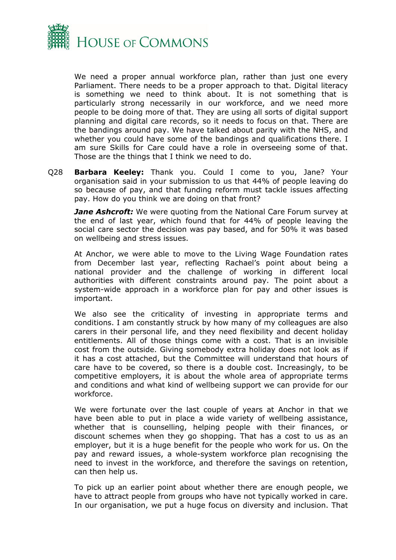

We need a proper annual workforce plan, rather than just one every Parliament. There needs to be a proper approach to that. Digital literacy is something we need to think about. It is not something that is particularly strong necessarily in our workforce, and we need more people to be doing more of that. They are using all sorts of digital support planning and digital care records, so it needs to focus on that. There are the bandings around pay. We have talked about parity with the NHS, and whether you could have some of the bandings and qualifications there. I am sure Skills for Care could have a role in overseeing some of that. Those are the things that I think we need to do.

Q28 **Barbara Keeley:** Thank you. Could I come to you, Jane? Your organisation said in your submission to us that 44% of people leaving do so because of pay, and that funding reform must tackle issues affecting pay. How do you think we are doing on that front?

*Jane Ashcroft:* We were quoting from the National Care Forum survey at the end of last year, which found that for 44% of people leaving the social care sector the decision was pay based, and for 50% it was based on wellbeing and stress issues.

At Anchor, we were able to move to the Living Wage Foundation rates from December last year, reflecting Rachael's point about being a national provider and the challenge of working in different local authorities with different constraints around pay. The point about a system-wide approach in a workforce plan for pay and other issues is important.

We also see the criticality of investing in appropriate terms and conditions. I am constantly struck by how many of my colleagues are also carers in their personal life, and they need flexibility and decent holiday entitlements. All of those things come with a cost. That is an invisible cost from the outside. Giving somebody extra holiday does not look as if it has a cost attached, but the Committee will understand that hours of care have to be covered, so there is a double cost. Increasingly, to be competitive employers, it is about the whole area of appropriate terms and conditions and what kind of wellbeing support we can provide for our workforce.

We were fortunate over the last couple of years at Anchor in that we have been able to put in place a wide variety of wellbeing assistance, whether that is counselling, helping people with their finances, or discount schemes when they go shopping. That has a cost to us as an employer, but it is a huge benefit for the people who work for us. On the pay and reward issues, a whole-system workforce plan recognising the need to invest in the workforce, and therefore the savings on retention, can then help us.

To pick up an earlier point about whether there are enough people, we have to attract people from groups who have not typically worked in care. In our organisation, we put a huge focus on diversity and inclusion. That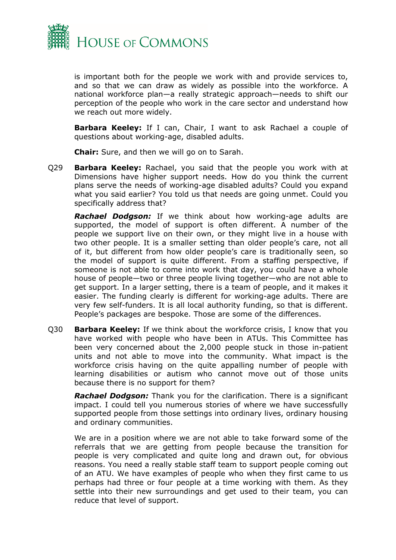

is important both for the people we work with and provide services to, and so that we can draw as widely as possible into the workforce. A national workforce plan—a really strategic approach—needs to shift our perception of the people who work in the care sector and understand how we reach out more widely.

**Barbara Keeley:** If I can, Chair, I want to ask Rachael a couple of questions about working-age, disabled adults.

**Chair:** Sure, and then we will go on to Sarah.

Q29 **Barbara Keeley:** Rachael, you said that the people you work with at Dimensions have higher support needs. How do you think the current plans serve the needs of working-age disabled adults? Could you expand what you said earlier? You told us that needs are going unmet. Could you specifically address that?

*Rachael Dodgson:* If we think about how working-age adults are supported, the model of support is often different. A number of the people we support live on their own, or they might live in a house with two other people. It is a smaller setting than older people's care, not all of it, but different from how older people's care is traditionally seen, so the model of support is quite different. From a staffing perspective, if someone is not able to come into work that day, you could have a whole house of people—two or three people living together—who are not able to get support. In a larger setting, there is a team of people, and it makes it easier. The funding clearly is different for working-age adults. There are very few self-funders. It is all local authority funding, so that is different. People's packages are bespoke. Those are some of the differences.

Q30 **Barbara Keeley:** If we think about the workforce crisis, I know that you have worked with people who have been in ATUs. This Committee has been very concerned about the 2,000 people stuck in those in-patient units and not able to move into the community. What impact is the workforce crisis having on the quite appalling number of people with learning disabilities or autism who cannot move out of those units because there is no support for them?

*Rachael Dodgson:* Thank you for the clarification. There is a significant impact. I could tell you numerous stories of where we have successfully supported people from those settings into ordinary lives, ordinary housing and ordinary communities.

We are in a position where we are not able to take forward some of the referrals that we are getting from people because the transition for people is very complicated and quite long and drawn out, for obvious reasons. You need a really stable staff team to support people coming out of an ATU. We have examples of people who when they first came to us perhaps had three or four people at a time working with them. As they settle into their new surroundings and get used to their team, you can reduce that level of support.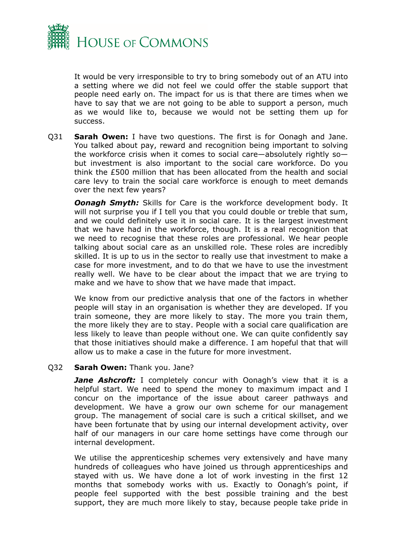

It would be very irresponsible to try to bring somebody out of an ATU into a setting where we did not feel we could offer the stable support that people need early on. The impact for us is that there are times when we have to say that we are not going to be able to support a person, much as we would like to, because we would not be setting them up for success.

Q31 **Sarah Owen:** I have two questions. The first is for Oonagh and Jane. You talked about pay, reward and recognition being important to solving the workforce crisis when it comes to social care—absolutely rightly so but investment is also important to the social care workforce. Do you think the £500 million that has been allocated from the health and social care levy to train the social care workforce is enough to meet demands over the next few years?

*Oonagh Smyth:* Skills for Care is the workforce development body. It will not surprise you if I tell you that you could double or treble that sum, and we could definitely use it in social care. It is the largest investment that we have had in the workforce, though. It is a real recognition that we need to recognise that these roles are professional. We hear people talking about social care as an unskilled role. These roles are incredibly skilled. It is up to us in the sector to really use that investment to make a case for more investment, and to do that we have to use the investment really well. We have to be clear about the impact that we are trying to make and we have to show that we have made that impact.

We know from our predictive analysis that one of the factors in whether people will stay in an organisation is whether they are developed. If you train someone, they are more likely to stay. The more you train them, the more likely they are to stay. People with a social care qualification are less likely to leave than people without one. We can quite confidently say that those initiatives should make a difference. I am hopeful that that will allow us to make a case in the future for more investment.

#### Q32 **Sarah Owen:** Thank you. Jane?

*Jane Ashcroft:* I completely concur with Oonagh's view that it is a helpful start. We need to spend the money to maximum impact and I concur on the importance of the issue about career pathways and development. We have a grow our own scheme for our management group. The management of social care is such a critical skillset, and we have been fortunate that by using our internal development activity, over half of our managers in our care home settings have come through our internal development.

We utilise the apprenticeship schemes very extensively and have many hundreds of colleagues who have joined us through apprenticeships and stayed with us. We have done a lot of work investing in the first 12 months that somebody works with us. Exactly to Oonagh's point, if people feel supported with the best possible training and the best support, they are much more likely to stay, because people take pride in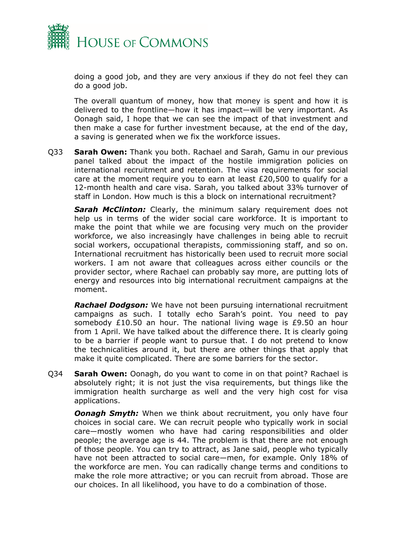

doing a good job, and they are very anxious if they do not feel they can do a good job.

The overall quantum of money, how that money is spent and how it is delivered to the frontline—how it has impact—will be very important. As Oonagh said, I hope that we can see the impact of that investment and then make a case for further investment because, at the end of the day, a saving is generated when we fix the workforce issues.

Q33 **Sarah Owen:** Thank you both. Rachael and Sarah, Gamu in our previous panel talked about the impact of the hostile immigration policies on international recruitment and retention. The visa requirements for social care at the moment require you to earn at least £20,500 to qualify for a 12-month health and care visa. Sarah, you talked about 33% turnover of staff in London. How much is this a block on international recruitment?

**Sarah McClinton:** Clearly, the minimum salary requirement does not help us in terms of the wider social care workforce. It is important to make the point that while we are focusing very much on the provider workforce, we also increasingly have challenges in being able to recruit social workers, occupational therapists, commissioning staff, and so on. International recruitment has historically been used to recruit more social workers. I am not aware that colleagues across either councils or the provider sector, where Rachael can probably say more, are putting lots of energy and resources into big international recruitment campaigns at the moment.

*Rachael Dodgson:* We have not been pursuing international recruitment campaigns as such. I totally echo Sarah's point. You need to pay somebody £10.50 an hour. The national living wage is £9.50 an hour from 1 April. We have talked about the difference there. It is clearly going to be a barrier if people want to pursue that. I do not pretend to know the technicalities around it, but there are other things that apply that make it quite complicated. There are some barriers for the sector.

Q34 **Sarah Owen:** Oonagh, do you want to come in on that point? Rachael is absolutely right; it is not just the visa requirements, but things like the immigration health surcharge as well and the very high cost for visa applications.

*Oonagh Smyth:* When we think about recruitment, you only have four choices in social care. We can recruit people who typically work in social care—mostly women who have had caring responsibilities and older people; the average age is 44. The problem is that there are not enough of those people. You can try to attract, as Jane said, people who typically have not been attracted to social care—men, for example. Only 18% of the workforce are men. You can radically change terms and conditions to make the role more attractive; or you can recruit from abroad. Those are our choices. In all likelihood, you have to do a combination of those.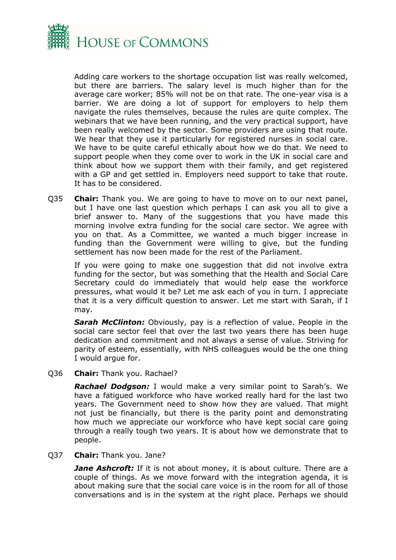

Adding care workers to the shortage occupation list was really welcomed, but there are barriers. The salary level is much higher than for the average care worker; 85% will not be on that rate. The one-year visa is a barrier. We are doing a lot of support for employers to help them navigate the rules themselves, because the rules are quite complex. The webinars that we have been running, and the very practical support, have been really welcomed by the sector. Some providers are using that route. We hear that they use it particularly for registered nurses in social care. We have to be quite careful ethically about how we do that. We need to support people when they come over to work in the UK in social care and think about how we support them with their family, and get registered with a GP and get settled in. Employers need support to take that route. It has to be considered.

Q35 **Chair:** Thank you. We are going to have to move on to our next panel, but I have one last question which perhaps I can ask you all to give a brief answer to. Many of the suggestions that you have made this morning involve extra funding for the social care sector. We agree with you on that. As a Committee, we wanted a much bigger increase in funding than the Government were willing to give, but the funding settlement has now been made for the rest of the Parliament.

If you were going to make one suggestion that did not involve extra funding for the sector, but was something that the Health and Social Care Secretary could do immediately that would help ease the workforce pressures, what would it be? Let me ask each of you in turn. I appreciate that it is a very difficult question to answer. Let me start with Sarah, if I may.

*Sarah McClinton:* Obviously, pay is a reflection of value. People in the social care sector feel that over the last two years there has been huge dedication and commitment and not always a sense of value. Striving for parity of esteem, essentially, with NHS colleagues would be the one thing I would argue for.

#### Q36 **Chair:** Thank you. Rachael?

*Rachael Dodgson:* I would make a very similar point to Sarah's. We have a fatigued workforce who have worked really hard for the last two years. The Government need to show how they are valued. That might not just be financially, but there is the parity point and demonstrating how much we appreciate our workforce who have kept social care going through a really tough two years. It is about how we demonstrate that to people.

#### Q37 **Chair:** Thank you. Jane?

*Jane Ashcroft:* If it is not about money, it is about culture. There are a couple of things. As we move forward with the integration agenda, it is about making sure that the social care voice is in the room for all of those conversations and is in the system at the right place. Perhaps we should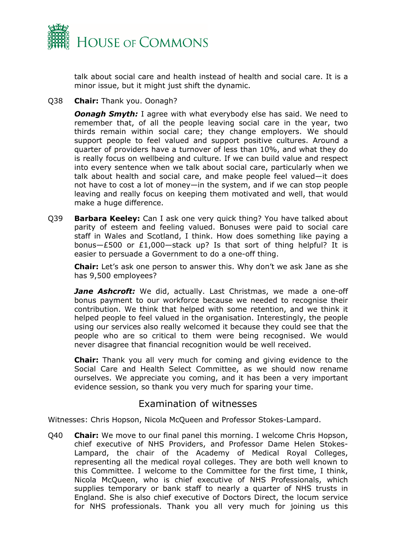

talk about social care and health instead of health and social care. It is a minor issue, but it might just shift the dynamic.

Q38 **Chair:** Thank you. Oonagh?

*Oonagh Smyth:* I agree with what everybody else has said. We need to remember that, of all the people leaving social care in the year, two thirds remain within social care; they change employers. We should support people to feel valued and support positive cultures. Around a quarter of providers have a turnover of less than 10%, and what they do is really focus on wellbeing and culture. If we can build value and respect into every sentence when we talk about social care, particularly when we talk about health and social care, and make people feel valued—it does not have to cost a lot of money—in the system, and if we can stop people leaving and really focus on keeping them motivated and well, that would make a huge difference.

Q39 **Barbara Keeley:** Can I ask one very quick thing? You have talked about parity of esteem and feeling valued. Bonuses were paid to social care staff in Wales and Scotland, I think. How does something like paying a bonus—£500 or £1,000—stack up? Is that sort of thing helpful? It is easier to persuade a Government to do a one-off thing.

**Chair:** Let's ask one person to answer this. Why don't we ask Jane as she has 9,500 employees?

*Jane Ashcroft:* We did, actually. Last Christmas, we made a one-off bonus payment to our workforce because we needed to recognise their contribution. We think that helped with some retention, and we think it helped people to feel valued in the organisation. Interestingly, the people using our services also really welcomed it because they could see that the people who are so critical to them were being recognised. We would never disagree that financial recognition would be well received.

**Chair:** Thank you all very much for coming and giving evidence to the Social Care and Health Select Committee, as we should now rename ourselves. We appreciate you coming, and it has been a very important evidence session, so thank you very much for sparing your time.

## Examination of witnesses

Witnesses: Chris Hopson, Nicola McQueen and Professor Stokes-Lampard.

Q40 **Chair:** We move to our final panel this morning. I welcome Chris Hopson, chief executive of NHS Providers, and Professor Dame Helen Stokes-Lampard, the chair of the Academy of Medical Royal Colleges, representing all the medical royal colleges. They are both well known to this Committee. I welcome to the Committee for the first time, I think, Nicola McQueen, who is chief executive of NHS Professionals, which supplies temporary or bank staff to nearly a quarter of NHS trusts in England. She is also chief executive of Doctors Direct, the locum service for NHS professionals. Thank you all very much for joining us this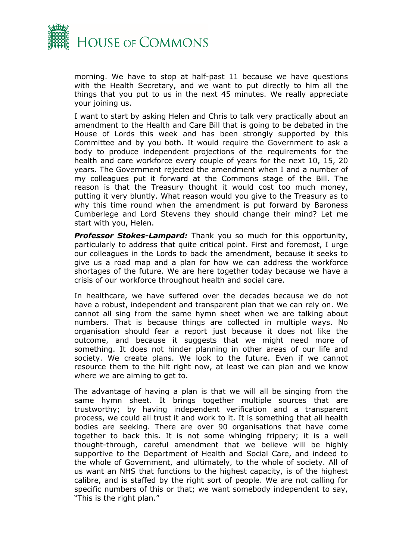

morning. We have to stop at half-past 11 because we have questions with the Health Secretary, and we want to put directly to him all the things that you put to us in the next 45 minutes. We really appreciate your joining us.

I want to start by asking Helen and Chris to talk very practically about an amendment to the Health and Care Bill that is going to be debated in the House of Lords this week and has been strongly supported by this Committee and by you both. It would require the Government to ask a body to produce independent projections of the requirements for the health and care workforce every couple of years for the next 10, 15, 20 years. The Government rejected the amendment when I and a number of my colleagues put it forward at the Commons stage of the Bill. The reason is that the Treasury thought it would cost too much money, putting it very bluntly. What reason would you give to the Treasury as to why this time round when the amendment is put forward by Baroness Cumberlege and Lord Stevens they should change their mind? Let me start with you, Helen.

*Professor Stokes-Lampard:* Thank you so much for this opportunity, particularly to address that quite critical point. First and foremost, I urge our colleagues in the Lords to back the amendment, because it seeks to give us a road map and a plan for how we can address the workforce shortages of the future. We are here together today because we have a crisis of our workforce throughout health and social care.

In healthcare, we have suffered over the decades because we do not have a robust, independent and transparent plan that we can rely on. We cannot all sing from the same hymn sheet when we are talking about numbers. That is because things are collected in multiple ways. No organisation should fear a report just because it does not like the outcome, and because it suggests that we might need more of something. It does not hinder planning in other areas of our life and society. We create plans. We look to the future. Even if we cannot resource them to the hilt right now, at least we can plan and we know where we are aiming to get to.

The advantage of having a plan is that we will all be singing from the same hymn sheet. It brings together multiple sources that are trustworthy; by having independent verification and a transparent process, we could all trust it and work to it. It is something that all health bodies are seeking. There are over 90 organisations that have come together to back this. It is not some whinging frippery; it is a well thought-through, careful amendment that we believe will be highly supportive to the Department of Health and Social Care, and indeed to the whole of Government, and ultimately, to the whole of society. All of us want an NHS that functions to the highest capacity, is of the highest calibre, and is staffed by the right sort of people. We are not calling for specific numbers of this or that; we want somebody independent to say, "This is the right plan."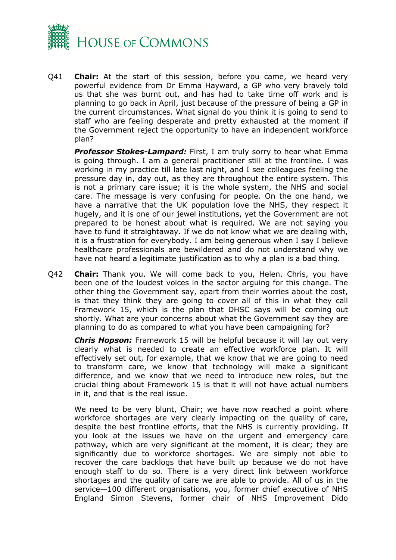

Q41 **Chair:** At the start of this session, before you came, we heard very powerful evidence from Dr Emma Hayward, a GP who very bravely told us that she was burnt out, and has had to take time off work and is planning to go back in April, just because of the pressure of being a GP in the current circumstances. What signal do you think it is going to send to staff who are feeling desperate and pretty exhausted at the moment if the Government reject the opportunity to have an independent workforce plan?

*Professor Stokes-Lampard:* First, I am truly sorry to hear what Emma is going through. I am a general practitioner still at the frontline. I was working in my practice till late last night, and I see colleagues feeling the pressure day in, day out, as they are throughout the entire system. This is not a primary care issue; it is the whole system, the NHS and social care. The message is very confusing for people. On the one hand, we have a narrative that the UK population love the NHS, they respect it hugely, and it is one of our jewel institutions, yet the Government are not prepared to be honest about what is required. We are not saying you have to fund it straightaway. If we do not know what we are dealing with, it is a frustration for everybody. I am being generous when I say I believe healthcare professionals are bewildered and do not understand why we have not heard a legitimate justification as to why a plan is a bad thing.

Q42 **Chair:** Thank you. We will come back to you, Helen. Chris, you have been one of the loudest voices in the sector arguing for this change. The other thing the Government say, apart from their worries about the cost, is that they think they are going to cover all of this in what they call Framework 15, which is the plan that DHSC says will be coming out shortly. What are your concerns about what the Government say they are planning to do as compared to what you have been campaigning for?

*Chris Hopson:* Framework 15 will be helpful because it will lay out very clearly what is needed to create an effective workforce plan. It will effectively set out, for example, that we know that we are going to need to transform care, we know that technology will make a significant difference, and we know that we need to introduce new roles, but the crucial thing about Framework 15 is that it will not have actual numbers in it, and that is the real issue.

We need to be very blunt, Chair; we have now reached a point where workforce shortages are very clearly impacting on the quality of care, despite the best frontline efforts, that the NHS is currently providing. If you look at the issues we have on the urgent and emergency care pathway, which are very significant at the moment, it is clear; they are significantly due to workforce shortages. We are simply not able to recover the care backlogs that have built up because we do not have enough staff to do so. There is a very direct link between workforce shortages and the quality of care we are able to provide. All of us in the service—100 different organisations, you, former chief executive of NHS England Simon Stevens, former chair of NHS Improvement Dido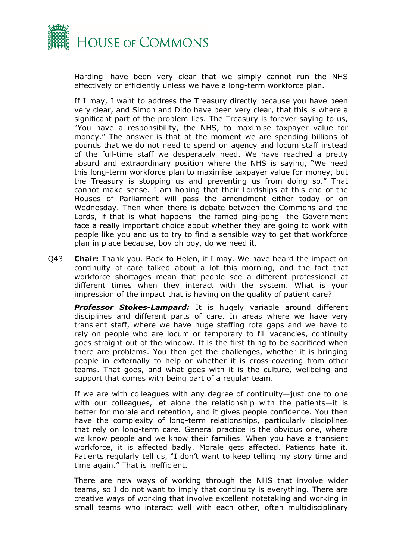

Harding—have been very clear that we simply cannot run the NHS effectively or efficiently unless we have a long-term workforce plan.

If I may, I want to address the Treasury directly because you have been very clear, and Simon and Dido have been very clear, that this is where a significant part of the problem lies. The Treasury is forever saying to us, "You have a responsibility, the NHS, to maximise taxpayer value for money." The answer is that at the moment we are spending billions of pounds that we do not need to spend on agency and locum staff instead of the full-time staff we desperately need. We have reached a pretty absurd and extraordinary position where the NHS is saying, "We need this long-term workforce plan to maximise taxpayer value for money, but the Treasury is stopping us and preventing us from doing so." That cannot make sense. I am hoping that their Lordships at this end of the Houses of Parliament will pass the amendment either today or on Wednesday. Then when there is debate between the Commons and the Lords, if that is what happens—the famed ping-pong—the Government face a really important choice about whether they are going to work with people like you and us to try to find a sensible way to get that workforce plan in place because, boy oh boy, do we need it.

Q43 **Chair:** Thank you. Back to Helen, if I may. We have heard the impact on continuity of care talked about a lot this morning, and the fact that workforce shortages mean that people see a different professional at different times when they interact with the system. What is your impression of the impact that is having on the quality of patient care?

*Professor Stokes-Lampard:* It is hugely variable around different disciplines and different parts of care. In areas where we have very transient staff, where we have huge staffing rota gaps and we have to rely on people who are locum or temporary to fill vacancies, continuity goes straight out of the window. It is the first thing to be sacrificed when there are problems. You then get the challenges, whether it is bringing people in externally to help or whether it is cross-covering from other teams. That goes, and what goes with it is the culture, wellbeing and support that comes with being part of a regular team.

If we are with colleagues with any degree of continuity—just one to one with our colleagues, let alone the relationship with the patients—it is better for morale and retention, and it gives people confidence. You then have the complexity of long-term relationships, particularly disciplines that rely on long-term care. General practice is the obvious one, where we know people and we know their families. When you have a transient workforce, it is affected badly. Morale gets affected. Patients hate it. Patients regularly tell us, "I don't want to keep telling my story time and time again." That is inefficient.

There are new ways of working through the NHS that involve wider teams, so I do not want to imply that continuity is everything. There are creative ways of working that involve excellent notetaking and working in small teams who interact well with each other, often multidisciplinary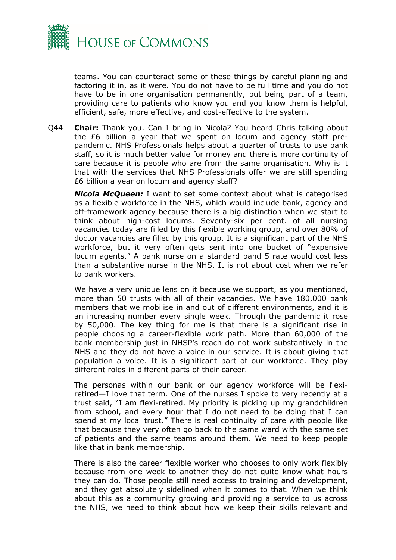

teams. You can counteract some of these things by careful planning and factoring it in, as it were. You do not have to be full time and you do not have to be in one organisation permanently, but being part of a team, providing care to patients who know you and you know them is helpful, efficient, safe, more effective, and cost-effective to the system.

Q44 **Chair:** Thank you. Can I bring in Nicola? You heard Chris talking about the £6 billion a year that we spent on locum and agency staff prepandemic. NHS Professionals helps about a quarter of trusts to use bank staff, so it is much better value for money and there is more continuity of care because it is people who are from the same organisation. Why is it that with the services that NHS Professionals offer we are still spending £6 billion a year on locum and agency staff?

*Nicola McQueen:* I want to set some context about what is categorised as a flexible workforce in the NHS, which would include bank, agency and off-framework agency because there is a big distinction when we start to think about high-cost locums. Seventy-six per cent. of all nursing vacancies today are filled by this flexible working group, and over 80% of doctor vacancies are filled by this group. It is a significant part of the NHS workforce, but it very often gets sent into one bucket of "expensive locum agents." A bank nurse on a standard band 5 rate would cost less than a substantive nurse in the NHS. It is not about cost when we refer to bank workers.

We have a very unique lens on it because we support, as you mentioned, more than 50 trusts with all of their vacancies. We have 180,000 bank members that we mobilise in and out of different environments, and it is an increasing number every single week. Through the pandemic it rose by 50,000. The key thing for me is that there is a significant rise in people choosing a career-flexible work path. More than 60,000 of the bank membership just in NHSP's reach do not work substantively in the NHS and they do not have a voice in our service. It is about giving that population a voice. It is a significant part of our workforce. They play different roles in different parts of their career.

The personas within our bank or our agency workforce will be flexiretired—I love that term. One of the nurses I spoke to very recently at a trust said, "I am flexi-retired. My priority is picking up my grandchildren from school, and every hour that I do not need to be doing that I can spend at my local trust." There is real continuity of care with people like that because they very often go back to the same ward with the same set of patients and the same teams around them. We need to keep people like that in bank membership.

There is also the career flexible worker who chooses to only work flexibly because from one week to another they do not quite know what hours they can do. Those people still need access to training and development, and they get absolutely sidelined when it comes to that. When we think about this as a community growing and providing a service to us across the NHS, we need to think about how we keep their skills relevant and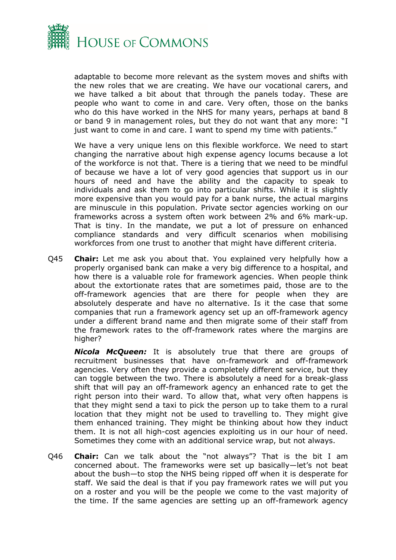

adaptable to become more relevant as the system moves and shifts with the new roles that we are creating. We have our vocational carers, and we have talked a bit about that through the panels today. These are people who want to come in and care. Very often, those on the banks who do this have worked in the NHS for many years, perhaps at band 8 or band 9 in management roles, but they do not want that any more: "I just want to come in and care. I want to spend my time with patients."

We have a very unique lens on this flexible workforce. We need to start changing the narrative about high expense agency locums because a lot of the workforce is not that. There is a tiering that we need to be mindful of because we have a lot of very good agencies that support us in our hours of need and have the ability and the capacity to speak to individuals and ask them to go into particular shifts. While it is slightly more expensive than you would pay for a bank nurse, the actual margins are minuscule in this population. Private sector agencies working on our frameworks across a system often work between 2% and 6% mark-up. That is tiny. In the mandate, we put a lot of pressure on enhanced compliance standards and very difficult scenarios when mobilising workforces from one trust to another that might have different criteria.

Q45 **Chair:** Let me ask you about that. You explained very helpfully how a properly organised bank can make a very big difference to a hospital, and how there is a valuable role for framework agencies. When people think about the extortionate rates that are sometimes paid, those are to the off-framework agencies that are there for people when they are absolutely desperate and have no alternative. Is it the case that some companies that run a framework agency set up an off-framework agency under a different brand name and then migrate some of their staff from the framework rates to the off-framework rates where the margins are higher?

*Nicola McQueen:* It is absolutely true that there are groups of recruitment businesses that have on-framework and off-framework agencies. Very often they provide a completely different service, but they can toggle between the two. There is absolutely a need for a break-glass shift that will pay an off-framework agency an enhanced rate to get the right person into their ward. To allow that, what very often happens is that they might send a taxi to pick the person up to take them to a rural location that they might not be used to travelling to. They might give them enhanced training. They might be thinking about how they induct them. It is not all high-cost agencies exploiting us in our hour of need. Sometimes they come with an additional service wrap, but not always.

Q46 **Chair:** Can we talk about the "not always"? That is the bit I am concerned about. The frameworks were set up basically—let's not beat about the bush—to stop the NHS being ripped off when it is desperate for staff. We said the deal is that if you pay framework rates we will put you on a roster and you will be the people we come to the vast majority of the time. If the same agencies are setting up an off-framework agency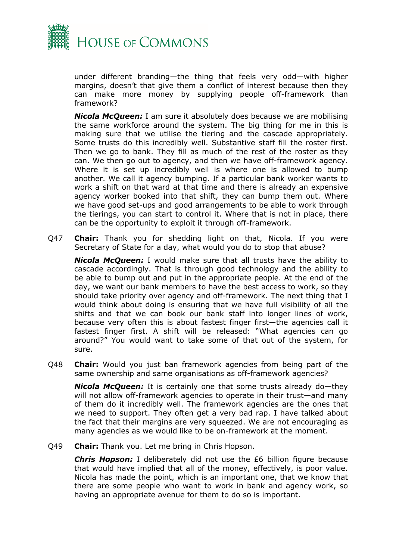

under different branding—the thing that feels very odd—with higher margins, doesn't that give them a conflict of interest because then they can make more money by supplying people off-framework than framework?

*Nicola McQueen:* I am sure it absolutely does because we are mobilising the same workforce around the system. The big thing for me in this is making sure that we utilise the tiering and the cascade appropriately. Some trusts do this incredibly well. Substantive staff fill the roster first. Then we go to bank. They fill as much of the rest of the roster as they can. We then go out to agency, and then we have off-framework agency. Where it is set up incredibly well is where one is allowed to bump another. We call it agency bumping. If a particular bank worker wants to work a shift on that ward at that time and there is already an expensive agency worker booked into that shift, they can bump them out. Where we have good set-ups and good arrangements to be able to work through the tierings, you can start to control it. Where that is not in place, there can be the opportunity to exploit it through off-framework.

Q47 **Chair:** Thank you for shedding light on that, Nicola. If you were Secretary of State for a day, what would you do to stop that abuse?

*Nicola McQueen:* I would make sure that all trusts have the ability to cascade accordingly. That is through good technology and the ability to be able to bump out and put in the appropriate people. At the end of the day, we want our bank members to have the best access to work, so they should take priority over agency and off-framework. The next thing that I would think about doing is ensuring that we have full visibility of all the shifts and that we can book our bank staff into longer lines of work, because very often this is about fastest finger first—the agencies call it fastest finger first. A shift will be released: "What agencies can go around?" You would want to take some of that out of the system, for sure.

Q48 **Chair:** Would you just ban framework agencies from being part of the same ownership and same organisations as off-framework agencies?

*Nicola McQueen:* It is certainly one that some trusts already do—they will not allow off-framework agencies to operate in their trust—and many of them do it incredibly well. The framework agencies are the ones that we need to support. They often get a very bad rap. I have talked about the fact that their margins are very squeezed. We are not encouraging as many agencies as we would like to be on-framework at the moment.

Q49 **Chair:** Thank you. Let me bring in Chris Hopson.

*Chris Hopson:* I deliberately did not use the £6 billion figure because that would have implied that all of the money, effectively, is poor value. Nicola has made the point, which is an important one, that we know that there are some people who want to work in bank and agency work, so having an appropriate avenue for them to do so is important.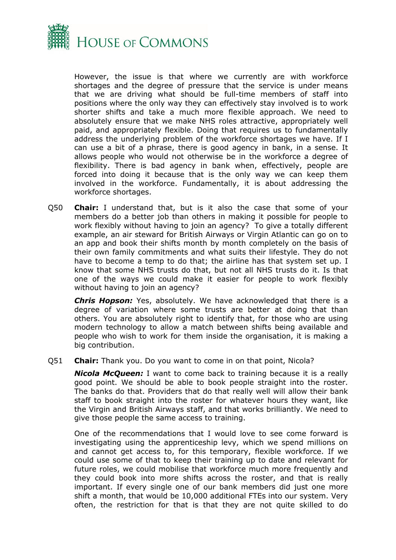

However, the issue is that where we currently are with workforce shortages and the degree of pressure that the service is under means that we are driving what should be full-time members of staff into positions where the only way they can effectively stay involved is to work shorter shifts and take a much more flexible approach. We need to absolutely ensure that we make NHS roles attractive, appropriately well paid, and appropriately flexible. Doing that requires us to fundamentally address the underlying problem of the workforce shortages we have. If I can use a bit of a phrase, there is good agency in bank, in a sense. It allows people who would not otherwise be in the workforce a degree of flexibility. There is bad agency in bank when, effectively, people are forced into doing it because that is the only way we can keep them involved in the workforce. Fundamentally, it is about addressing the workforce shortages.

Q50 **Chair:** I understand that, but is it also the case that some of your members do a better job than others in making it possible for people to work flexibly without having to join an agency? To give a totally different example, an air steward for British Airways or Virgin Atlantic can go on to an app and book their shifts month by month completely on the basis of their own family commitments and what suits their lifestyle. They do not have to become a temp to do that; the airline has that system set up. I know that some NHS trusts do that, but not all NHS trusts do it. Is that one of the ways we could make it easier for people to work flexibly without having to join an agency?

*Chris Hopson:* Yes, absolutely. We have acknowledged that there is a degree of variation where some trusts are better at doing that than others. You are absolutely right to identify that, for those who are using modern technology to allow a match between shifts being available and people who wish to work for them inside the organisation, it is making a big contribution.

Q51 **Chair:** Thank you. Do you want to come in on that point, Nicola?

*Nicola McQueen:* I want to come back to training because it is a really good point. We should be able to book people straight into the roster. The banks do that. Providers that do that really well will allow their bank staff to book straight into the roster for whatever hours they want, like the Virgin and British Airways staff, and that works brilliantly. We need to give those people the same access to training.

One of the recommendations that I would love to see come forward is investigating using the apprenticeship levy, which we spend millions on and cannot get access to, for this temporary, flexible workforce. If we could use some of that to keep their training up to date and relevant for future roles, we could mobilise that workforce much more frequently and they could book into more shifts across the roster, and that is really important. If every single one of our bank members did just one more shift a month, that would be 10,000 additional FTEs into our system. Very often, the restriction for that is that they are not quite skilled to do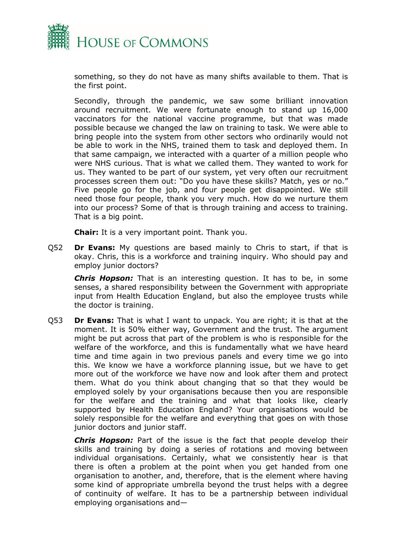

something, so they do not have as many shifts available to them. That is the first point.

Secondly, through the pandemic, we saw some brilliant innovation around recruitment. We were fortunate enough to stand up 16,000 vaccinators for the national vaccine programme, but that was made possible because we changed the law on training to task. We were able to bring people into the system from other sectors who ordinarily would not be able to work in the NHS, trained them to task and deployed them. In that same campaign, we interacted with a quarter of a million people who were NHS curious. That is what we called them. They wanted to work for us. They wanted to be part of our system, yet very often our recruitment processes screen them out: "Do you have these skills? Match, yes or no." Five people go for the job, and four people get disappointed. We still need those four people, thank you very much. How do we nurture them into our process? Some of that is through training and access to training. That is a big point.

**Chair:** It is a very important point. Thank you.

Q52 **Dr Evans:** My questions are based mainly to Chris to start, if that is okay. Chris, this is a workforce and training inquiry. Who should pay and employ junior doctors?

*Chris Hopson:* That is an interesting question. It has to be, in some senses, a shared responsibility between the Government with appropriate input from Health Education England, but also the employee trusts while the doctor is training.

Q53 **Dr Evans:** That is what I want to unpack. You are right; it is that at the moment. It is 50% either way, Government and the trust. The argument might be put across that part of the problem is who is responsible for the welfare of the workforce, and this is fundamentally what we have heard time and time again in two previous panels and every time we go into this. We know we have a workforce planning issue, but we have to get more out of the workforce we have now and look after them and protect them. What do you think about changing that so that they would be employed solely by your organisations because then you are responsible for the welfare and the training and what that looks like, clearly supported by Health Education England? Your organisations would be solely responsible for the welfare and everything that goes on with those junior doctors and junior staff.

*Chris Hopson:* Part of the issue is the fact that people develop their skills and training by doing a series of rotations and moving between individual organisations. Certainly, what we consistently hear is that there is often a problem at the point when you get handed from one organisation to another, and, therefore, that is the element where having some kind of appropriate umbrella beyond the trust helps with a degree of continuity of welfare. It has to be a partnership between individual employing organisations and—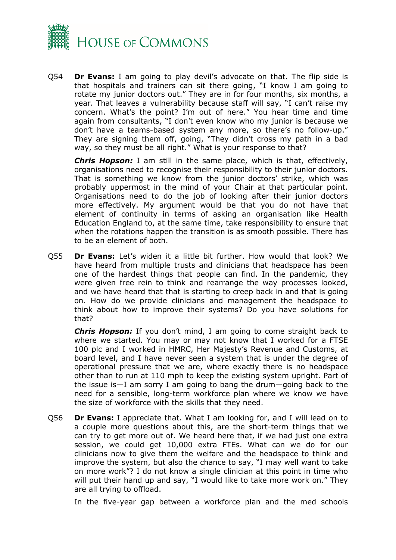

Q54 **Dr Evans:** I am going to play devil's advocate on that. The flip side is that hospitals and trainers can sit there going, "I know I am going to rotate my junior doctors out." They are in for four months, six months, a year. That leaves a vulnerability because staff will say, "I can't raise my concern. What's the point? I'm out of here." You hear time and time again from consultants, "I don't even know who my junior is because we don't have a teams-based system any more, so there's no follow-up." They are signing them off, going, "They didn't cross my path in a bad way, so they must be all right." What is your response to that?

*Chris Hopson:* I am still in the same place, which is that, effectively, organisations need to recognise their responsibility to their junior doctors. That is something we know from the junior doctors' strike, which was probably uppermost in the mind of your Chair at that particular point. Organisations need to do the job of looking after their junior doctors more effectively. My argument would be that you do not have that element of continuity in terms of asking an organisation like Health Education England to, at the same time, take responsibility to ensure that when the rotations happen the transition is as smooth possible. There has to be an element of both.

Q55 **Dr Evans:** Let's widen it a little bit further. How would that look? We have heard from multiple trusts and clinicians that headspace has been one of the hardest things that people can find. In the pandemic, they were given free rein to think and rearrange the way processes looked, and we have heard that that is starting to creep back in and that is going on. How do we provide clinicians and management the headspace to think about how to improve their systems? Do you have solutions for that?

*Chris Hopson:* If you don't mind, I am going to come straight back to where we started. You may or may not know that I worked for a FTSE 100 plc and I worked in HMRC, Her Majesty's Revenue and Customs, at board level, and I have never seen a system that is under the degree of operational pressure that we are, where exactly there is no headspace other than to run at 110 mph to keep the existing system upright. Part of the issue is—I am sorry I am going to bang the drum—going back to the need for a sensible, long-term workforce plan where we know we have the size of workforce with the skills that they need.

Q56 **Dr Evans:** I appreciate that. What I am looking for, and I will lead on to a couple more questions about this, are the short-term things that we can try to get more out of. We heard here that, if we had just one extra session, we could get 10,000 extra FTEs. What can we do for our clinicians now to give them the welfare and the headspace to think and improve the system, but also the chance to say, "I may well want to take on more work"? I do not know a single clinician at this point in time who will put their hand up and say, "I would like to take more work on." They are all trying to offload.

In the five-year gap between a workforce plan and the med schools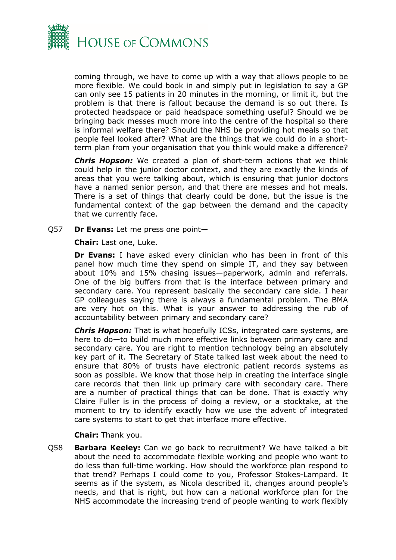

coming through, we have to come up with a way that allows people to be more flexible. We could book in and simply put in legislation to say a GP can only see 15 patients in 20 minutes in the morning, or limit it, but the problem is that there is fallout because the demand is so out there. Is protected headspace or paid headspace something useful? Should we be bringing back messes much more into the centre of the hospital so there is informal welfare there? Should the NHS be providing hot meals so that people feel looked after? What are the things that we could do in a shortterm plan from your organisation that you think would make a difference?

*Chris Hopson:* We created a plan of short-term actions that we think could help in the junior doctor context, and they are exactly the kinds of areas that you were talking about, which is ensuring that junior doctors have a named senior person, and that there are messes and hot meals. There is a set of things that clearly could be done, but the issue is the fundamental context of the gap between the demand and the capacity that we currently face.

Q57 **Dr Evans:** Let me press one point—

**Chair:** Last one, Luke.

**Dr Evans:** I have asked every clinician who has been in front of this panel how much time they spend on simple IT, and they say between about 10% and 15% chasing issues—paperwork, admin and referrals. One of the big buffers from that is the interface between primary and secondary care. You represent basically the secondary care side. I hear GP colleagues saying there is always a fundamental problem. The BMA are very hot on this. What is your answer to addressing the rub of accountability between primary and secondary care?

*Chris Hopson:* That is what hopefully ICSs, integrated care systems, are here to do—to build much more effective links between primary care and secondary care. You are right to mention technology being an absolutely key part of it. The Secretary of State talked last week about the need to ensure that 80% of trusts have electronic patient records systems as soon as possible. We know that those help in creating the interface single care records that then link up primary care with secondary care. There are a number of practical things that can be done. That is exactly why Claire Fuller is in the process of doing a review, or a stocktake, at the moment to try to identify exactly how we use the advent of integrated care systems to start to get that interface more effective.

#### **Chair:** Thank you.

Q58 **Barbara Keeley:** Can we go back to recruitment? We have talked a bit about the need to accommodate flexible working and people who want to do less than full-time working. How should the workforce plan respond to that trend? Perhaps I could come to you, Professor Stokes-Lampard. It seems as if the system, as Nicola described it, changes around people's needs, and that is right, but how can a national workforce plan for the NHS accommodate the increasing trend of people wanting to work flexibly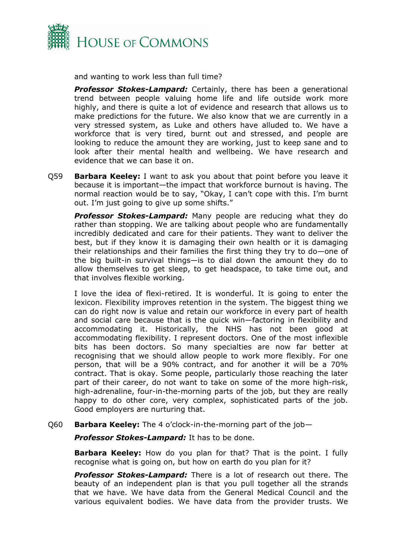

and wanting to work less than full time?

*Professor Stokes-Lampard:* Certainly, there has been a generational trend between people valuing home life and life outside work more highly, and there is quite a lot of evidence and research that allows us to make predictions for the future. We also know that we are currently in a very stressed system, as Luke and others have alluded to. We have a workforce that is very tired, burnt out and stressed, and people are looking to reduce the amount they are working, just to keep sane and to look after their mental health and wellbeing. We have research and evidence that we can base it on.

Q59 **Barbara Keeley:** I want to ask you about that point before you leave it because it is important—the impact that workforce burnout is having. The normal reaction would be to say, "Okay, I can't cope with this. I'm burnt out. I'm just going to give up some shifts."

*Professor Stokes-Lampard:* Many people are reducing what they do rather than stopping. We are talking about people who are fundamentally incredibly dedicated and care for their patients. They want to deliver the best, but if they know it is damaging their own health or it is damaging their relationships and their families the first thing they try to do—one of the big built-in survival things—is to dial down the amount they do to allow themselves to get sleep, to get headspace, to take time out, and that involves flexible working.

I love the idea of flexi-retired. It is wonderful. It is going to enter the lexicon. Flexibility improves retention in the system. The biggest thing we can do right now is value and retain our workforce in every part of health and social care because that is the quick win—factoring in flexibility and accommodating it. Historically, the NHS has not been good at accommodating flexibility. I represent doctors. One of the most inflexible bits has been doctors. So many specialties are now far better at recognising that we should allow people to work more flexibly. For one person, that will be a 90% contract, and for another it will be a 70% contract. That is okay. Some people, particularly those reaching the later part of their career, do not want to take on some of the more high-risk, high-adrenaline, four-in-the-morning parts of the job, but they are really happy to do other core, very complex, sophisticated parts of the job. Good employers are nurturing that.

#### Q60 **Barbara Keeley:** The 4 o'clock-in-the-morning part of the job—

*Professor Stokes-Lampard:* It has to be done.

**Barbara Keeley:** How do you plan for that? That is the point. I fully recognise what is going on, but how on earth do you plan for it?

*Professor Stokes-Lampard:* There is a lot of research out there. The beauty of an independent plan is that you pull together all the strands that we have. We have data from the General Medical Council and the various equivalent bodies. We have data from the provider trusts. We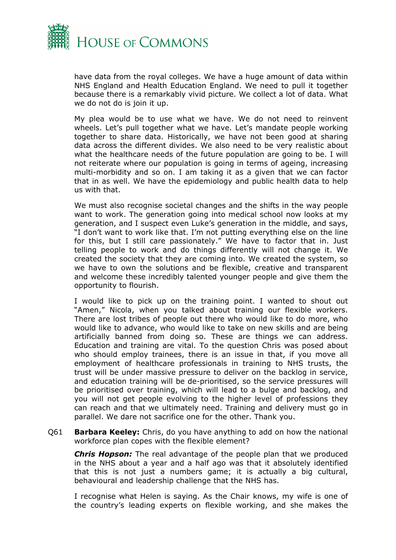

have data from the royal colleges. We have a huge amount of data within NHS England and Health Education England. We need to pull it together because there is a remarkably vivid picture. We collect a lot of data. What we do not do is join it up.

My plea would be to use what we have. We do not need to reinvent wheels. Let's pull together what we have. Let's mandate people working together to share data. Historically, we have not been good at sharing data across the different divides. We also need to be very realistic about what the healthcare needs of the future population are going to be. I will not reiterate where our population is going in terms of ageing, increasing multi-morbidity and so on. I am taking it as a given that we can factor that in as well. We have the epidemiology and public health data to help us with that.

We must also recognise societal changes and the shifts in the way people want to work. The generation going into medical school now looks at my generation, and I suspect even Luke's generation in the middle, and says, "I don't want to work like that. I'm not putting everything else on the line for this, but I still care passionately." We have to factor that in. Just telling people to work and do things differently will not change it. We created the society that they are coming into. We created the system, so we have to own the solutions and be flexible, creative and transparent and welcome these incredibly talented younger people and give them the opportunity to flourish.

I would like to pick up on the training point. I wanted to shout out "Amen," Nicola, when you talked about training our flexible workers. There are lost tribes of people out there who would like to do more, who would like to advance, who would like to take on new skills and are being artificially banned from doing so. These are things we can address. Education and training are vital. To the question Chris was posed about who should employ trainees, there is an issue in that, if you move all employment of healthcare professionals in training to NHS trusts, the trust will be under massive pressure to deliver on the backlog in service, and education training will be de-prioritised, so the service pressures will be prioritised over training, which will lead to a bulge and backlog, and you will not get people evolving to the higher level of professions they can reach and that we ultimately need. Training and delivery must go in parallel. We dare not sacrifice one for the other. Thank you.

Q61 **Barbara Keeley:** Chris, do you have anything to add on how the national workforce plan copes with the flexible element?

*Chris Hopson:* The real advantage of the people plan that we produced in the NHS about a year and a half ago was that it absolutely identified that this is not just a numbers game; it is actually a big cultural, behavioural and leadership challenge that the NHS has.

I recognise what Helen is saying. As the Chair knows, my wife is one of the country's leading experts on flexible working, and she makes the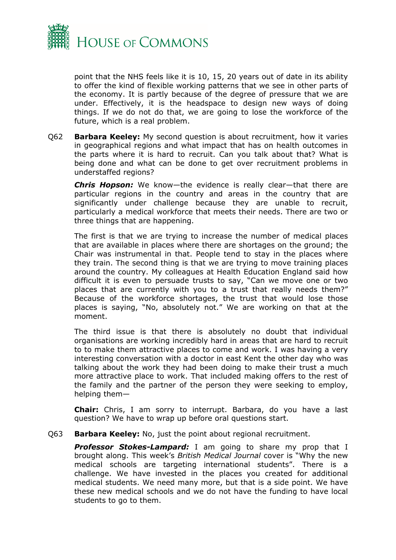

point that the NHS feels like it is 10, 15, 20 years out of date in its ability to offer the kind of flexible working patterns that we see in other parts of the economy. It is partly because of the degree of pressure that we are under. Effectively, it is the headspace to design new ways of doing things. If we do not do that, we are going to lose the workforce of the future, which is a real problem.

Q62 **Barbara Keeley:** My second question is about recruitment, how it varies in geographical regions and what impact that has on health outcomes in the parts where it is hard to recruit. Can you talk about that? What is being done and what can be done to get over recruitment problems in understaffed regions?

*Chris Hopson:* We know—the evidence is really clear—that there are particular regions in the country and areas in the country that are significantly under challenge because they are unable to recruit, particularly a medical workforce that meets their needs. There are two or three things that are happening.

The first is that we are trying to increase the number of medical places that are available in places where there are shortages on the ground; the Chair was instrumental in that. People tend to stay in the places where they train. The second thing is that we are trying to move training places around the country. My colleagues at Health Education England said how difficult it is even to persuade trusts to say, "Can we move one or two places that are currently with you to a trust that really needs them?" Because of the workforce shortages, the trust that would lose those places is saying, "No, absolutely not." We are working on that at the moment.

The third issue is that there is absolutely no doubt that individual organisations are working incredibly hard in areas that are hard to recruit to to make them attractive places to come and work. I was having a very interesting conversation with a doctor in east Kent the other day who was talking about the work they had been doing to make their trust a much more attractive place to work. That included making offers to the rest of the family and the partner of the person they were seeking to employ, helping them—

**Chair:** Chris, I am sorry to interrupt. Barbara, do you have a last question? We have to wrap up before oral questions start.

#### Q63 **Barbara Keeley:** No, just the point about regional recruitment.

*Professor Stokes-Lampard:* I am going to share my prop that I brought along. This week's *British Medical Journal* cover is "Why the new medical schools are targeting international students". There is a challenge. We have invested in the places you created for additional medical students. We need many more, but that is a side point. We have these new medical schools and we do not have the funding to have local students to go to them.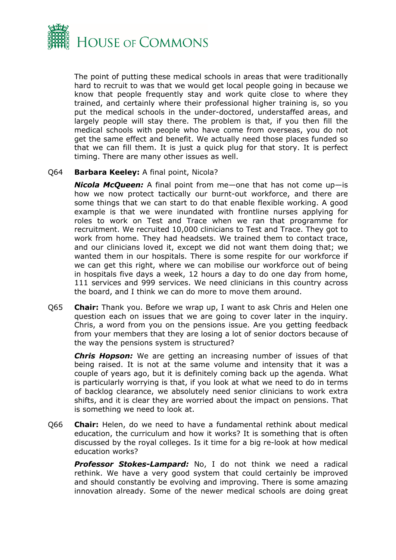

The point of putting these medical schools in areas that were traditionally hard to recruit to was that we would get local people going in because we know that people frequently stay and work quite close to where they trained, and certainly where their professional higher training is, so you put the medical schools in the under-doctored, understaffed areas, and largely people will stay there. The problem is that, if you then fill the medical schools with people who have come from overseas, you do not get the same effect and benefit. We actually need those places funded so that we can fill them. It is just a quick plug for that story. It is perfect timing. There are many other issues as well.

#### Q64 **Barbara Keeley:** A final point, Nicola?

*Nicola McQueen:* A final point from me—one that has not come up—is how we now protect tactically our burnt-out workforce, and there are some things that we can start to do that enable flexible working. A good example is that we were inundated with frontline nurses applying for roles to work on Test and Trace when we ran that programme for recruitment. We recruited 10,000 clinicians to Test and Trace. They got to work from home. They had headsets. We trained them to contact trace, and our clinicians loved it, except we did not want them doing that; we wanted them in our hospitals. There is some respite for our workforce if we can get this right, where we can mobilise our workforce out of being in hospitals five days a week, 12 hours a day to do one day from home, 111 services and 999 services. We need clinicians in this country across the board, and I think we can do more to move them around.

Q65 **Chair:** Thank you. Before we wrap up, I want to ask Chris and Helen one question each on issues that we are going to cover later in the inquiry. Chris, a word from you on the pensions issue. Are you getting feedback from your members that they are losing a lot of senior doctors because of the way the pensions system is structured?

*Chris Hopson:* We are getting an increasing number of issues of that being raised. It is not at the same volume and intensity that it was a couple of years ago, but it is definitely coming back up the agenda. What is particularly worrying is that, if you look at what we need to do in terms of backlog clearance, we absolutely need senior clinicians to work extra shifts, and it is clear they are worried about the impact on pensions. That is something we need to look at.

Q66 **Chair:** Helen, do we need to have a fundamental rethink about medical education, the curriculum and how it works? It is something that is often discussed by the royal colleges. Is it time for a big re-look at how medical education works?

*Professor Stokes-Lampard:* No, I do not think we need a radical rethink. We have a very good system that could certainly be improved and should constantly be evolving and improving. There is some amazing innovation already. Some of the newer medical schools are doing great